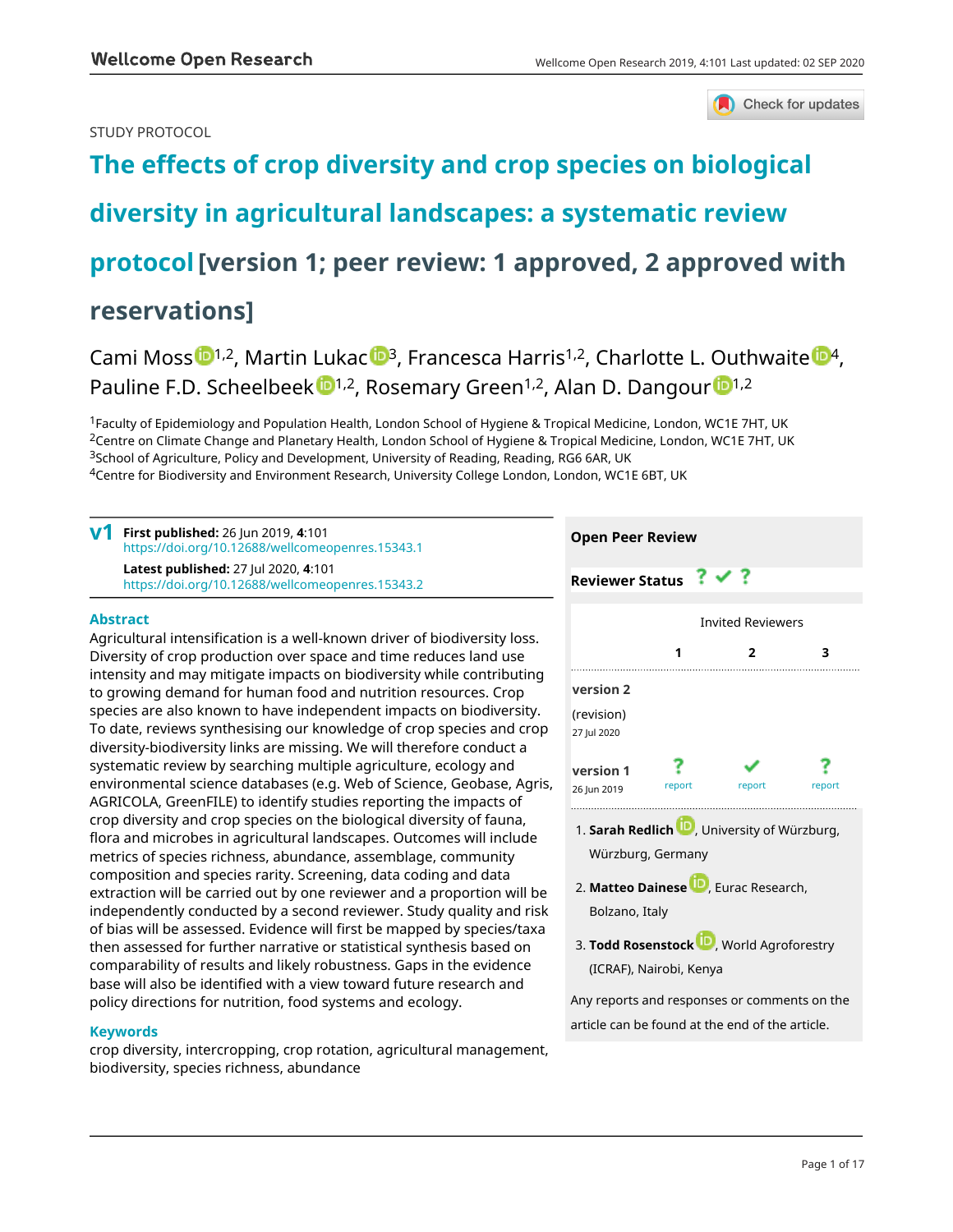### STUDY PROTOCOL



# **[The effects of crop diversity and crop species on biological](https://wellcomeopenresearch.org/articles/4-101/v1) [diversity in agricultural landscapes: a systematic review](https://wellcomeopenresearch.org/articles/4-101/v1) [protocol](https://wellcomeopenresearch.org/articles/4-101/v1)[version 1; peer review: 1 approved, 2 approved with reservations]**

# Cami Moss  $\mathbb{D}^{1,2}$  $\mathbb{D}^{1,2}$  $\mathbb{D}^{1,2}$ , Martin Luka[c](https://orcid.org/0000-0002-8535-6334)  $\mathbb{D}^{3}$ , Francesca Harris<sup>1,2</sup>, Charlotte L. Outhwaite  $\mathbb{D}^{4}$ , Pauline F.D. Scheelbeek <sup>[1](https://orcid.org/0000-0001-6908-1273),2</sup>, Rosemary Green<sup>1,2</sup>, Alan D. Dangour <sup>1,2</sup>

<sup>1</sup>Faculty of Epidemiology and Population Health, London School of Hygiene & Tropical Medicine, London, WC1E 7HT, UK <sup>2</sup>Centre on Climate Change and Planetary Health, London School of Hygiene & Tropical Medicine, London, WC1E 7HT, UK <sup>3</sup>School of Agriculture, Policy and Development, University of Reading, Reading, RG6 6AR, UK <sup>4</sup>Centre for Biodiversity and Environment Research, University College London, London, WC1E 6BT, UK

| v1 | First published: 26 Jun 2019, 4:101<br>https://doi.org/10.12688/wellcomeopenres.15343.1         |
|----|-------------------------------------------------------------------------------------------------|
|    | <b>Latest published: 27 Jul 2020, 4:101</b><br>https://doi.org/10.12688/wellcomeopenres.15343.2 |

### **Abstract**

Agricultural intensification is a well-known driver of biodiversity loss. Diversity of crop production over space and time reduces land use intensity and may mitigate impacts on biodiversity while contributing to growing demand for human food and nutrition resources. Crop species are also known to have independent impacts on biodiversity. To date, reviews synthesising our knowledge of crop species and crop diversity-biodiversity links are missing. We will therefore conduct a systematic review by searching multiple agriculture, ecology and environmental science databases (e.g. Web of Science, Geobase, Agris, AGRICOLA, GreenFILE) to identify studies reporting the impacts of crop diversity and crop species on the biological diversity of fauna, flora and microbes in agricultural landscapes. Outcomes will include metrics of species richness, abundance, assemblage, community composition and species rarity. Screening, data coding and data extraction will be carried out by one reviewer and a proportion will be independently conducted by a second reviewer. Study quality and risk of bias will be assessed. Evidence will first be mapped by species/taxa then assessed for further narrative or statistical synthesis based on comparability of results and likely robustness. Gaps in the evidence base will also be identified with a view toward future research and policy directions for nutrition, food systems and ecology.

### **Keywords**

crop diversity, intercropping, crop rotation, agricultural management, biodiversity, species richness, abundance



Bolzano, Italy

**3. Todd Rosenstock W**[,](https://orcid.org/0000-0002-1958-9500) World Agroforestry (ICRAF), Nairobi, Kenya

Any reports and responses or comments on the article can be found at the end of the article.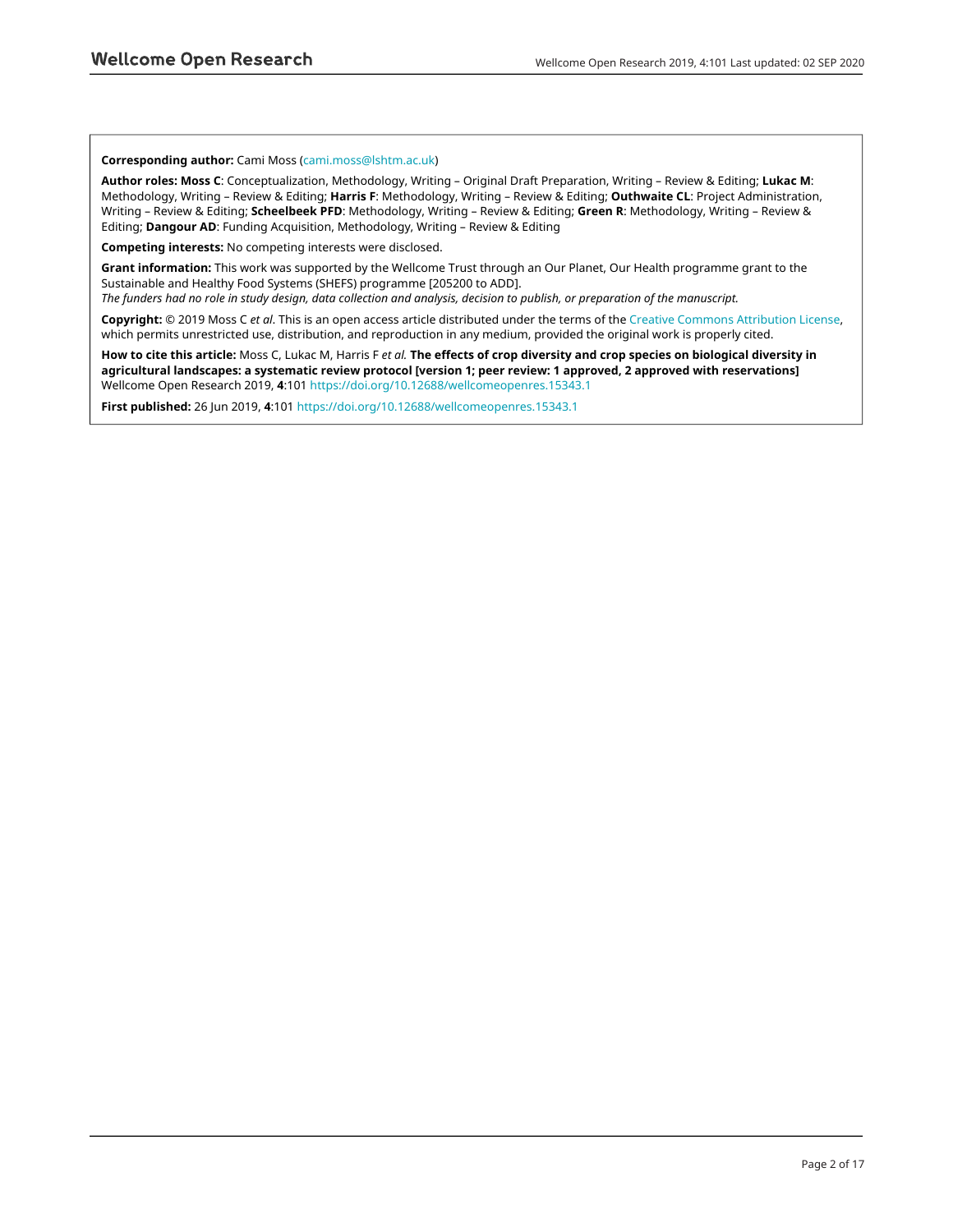#### **Corresponding author:** Cami Moss ([cami.moss@lshtm.ac.uk](mailto:cami.moss@lshtm.ac.uk))

**Author roles: Moss C**: Conceptualization, Methodology, Writing – Original Draft Preparation, Writing – Review & Editing; **Lukac M**: Methodology, Writing – Review & Editing; **Harris F**: Methodology, Writing – Review & Editing; **Outhwaite CL**: Project Administration, Writing – Review & Editing; **Scheelbeek PFD**: Methodology, Writing – Review & Editing; **Green R**: Methodology, Writing – Review & Editing; **Dangour AD**: Funding Acquisition, Methodology, Writing – Review & Editing

**Competing interests:** No competing interests were disclosed.

**Grant information:** This work was supported by the Wellcome Trust through an Our Planet, Our Health programme grant to the Sustainable and Healthy Food Systems (SHEFS) programme [205200 to ADD].

*The funders had no role in study design, data collection and analysis, decision to publish, or preparation of the manuscript.*

**Copyright:** © 2019 Moss C *et al*. This is an open access article distributed under the terms of the [Creative Commons Attribution License,](http://creativecommons.org/licenses/by/4.0/) which permits unrestricted use, distribution, and reproduction in any medium, provided the original work is properly cited.

**How to cite this article:** Moss C, Lukac M, Harris F *et al.* **The effects of crop diversity and crop species on biological diversity in agricultural landscapes: a systematic review protocol [version 1; peer review: 1 approved, 2 approved with reservations]** Wellcome Open Research 2019, **4**:101<https://doi.org/10.12688/wellcomeopenres.15343.1>

**First published:** 26 Jun 2019, **4**:101 <https://doi.org/10.12688/wellcomeopenres.15343.1>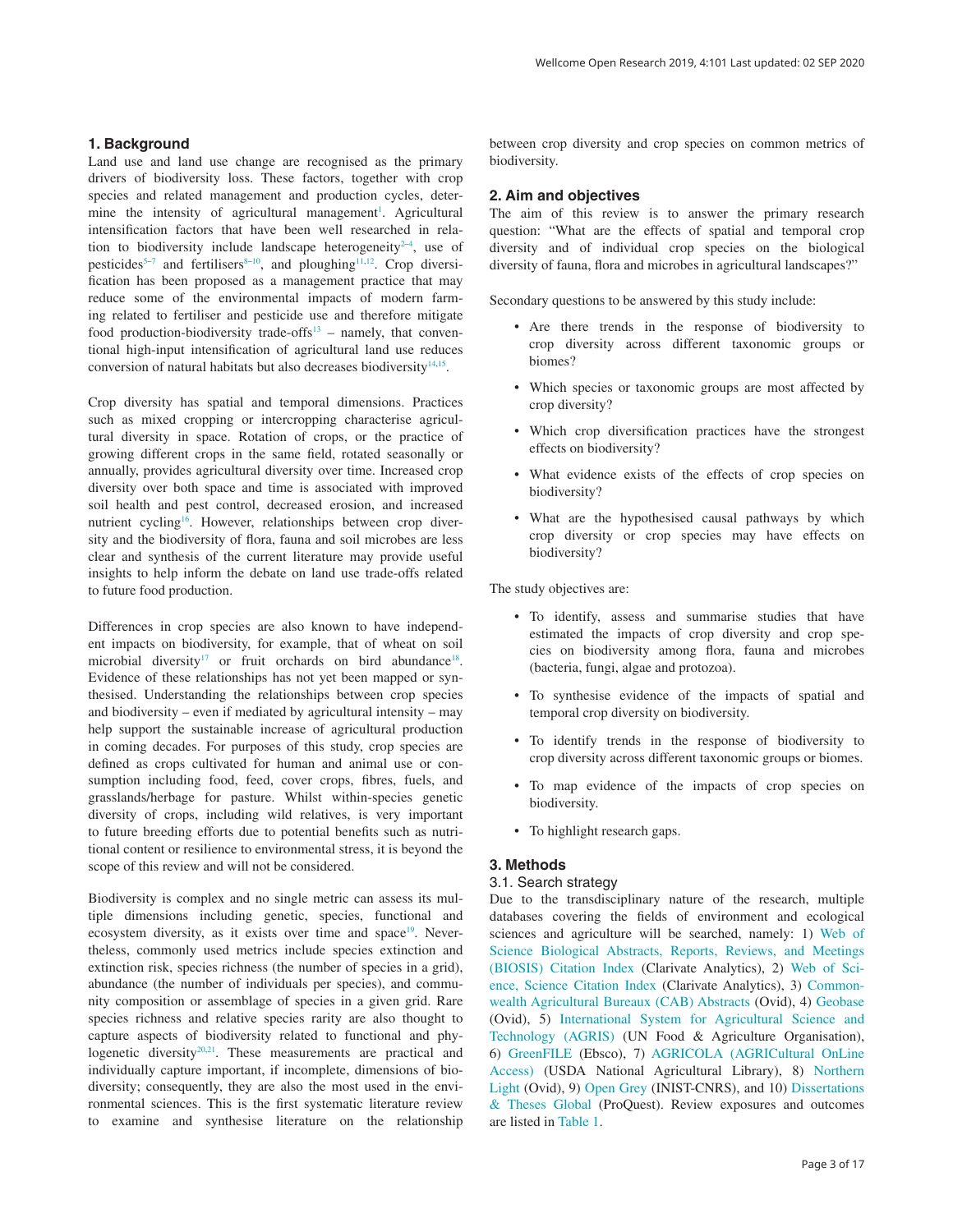### **1. Background**

Land use and land use change are recognised as the primary drivers of biodiversity loss. These factors, together with crop species and related management and production cycles, deter-mine the intensity of agricultural management<sup>[1](#page-6-0)</sup>. Agricultural intensification factors that have been well researched in relation to biodiversity include landscape heterogeneity $2-4$ , use of pesticides<sup>5-7</sup> and fertilisers<sup>8-10</sup>, and ploughing<sup>11,12</sup>. Crop diversification has been proposed as a management practice that may reduce some of the environmental impacts of modern farming related to fertiliser and pesticide use and therefore mitigate food production-biodiversity trade-offs $13$  – namely, that conventional high-input intensification of agricultural land use reduces conversion of natural habitats but also decreases biodiversity $14,15$ .

Crop diversity has spatial and temporal dimensions. Practices such as mixed cropping or intercropping characterise agricultural diversity in space. Rotation of crops, or the practice of growing different crops in the same field, rotated seasonally or annually, provides agricultural diversity over time. Increased crop diversity over both space and time is associated with improved soil health and pest control, decreased erosion, and increased nutrient cycling<sup>16</sup>. However, relationships between crop diversity and the biodiversity of flora, fauna and soil microbes are less clear and synthesis of the current literature may provide useful insights to help inform the debate on land use trade-offs related to future food production.

Differences in crop species are also known to have independent impacts on biodiversity, for example, that of wheat on soil microbial diversity<sup>17</sup> or fruit orchards on bird abundance<sup>18</sup>. Evidence of these relationships has not yet been mapped or synthesised. Understanding the relationships between crop species and biodiversity – even if mediated by agricultural intensity – may help support the sustainable increase of agricultural production in coming decades. For purposes of this study, crop species are defined as crops cultivated for human and animal use or consumption including food, feed, cover crops, fibres, fuels, and grasslands/herbage for pasture. Whilst within-species genetic diversity of crops, including wild relatives, is very important to future breeding efforts due to potential benefits such as nutritional content or resilience to environmental stress, it is beyond the scope of this review and will not be considered.

Biodiversity is complex and no single metric can assess its multiple dimensions including genetic, species, functional and ecosystem diversity, as it exists over time and space<sup>19</sup>. Nevertheless, commonly used metrics include species extinction and extinction risk, species richness (the number of species in a grid), abundance (the number of individuals per species), and community composition or assemblage of species in a given grid. Rare species richness and relative species rarity are also thought to capture aspects of biodiversity related to functional and phy-logenetic diversity<sup>[20,21](#page-6-0)</sup>. These measurements are practical and individually capture important, if incomplete, dimensions of biodiversity; consequently, they are also the most used in the environmental sciences. This is the first systematic literature review to examine and synthesise literature on the relationship

between crop diversity and crop species on common metrics of biodiversity.

#### **2. Aim and objectives**

The aim of this review is to answer the primary research question: "What are the effects of spatial and temporal crop diversity and of individual crop species on the biological diversity of fauna, flora and microbes in agricultural landscapes?"

Secondary questions to be answered by this study include:

- Are there trends in the response of biodiversity to crop diversity across different taxonomic groups or biomes?
- Which species or taxonomic groups are most affected by crop diversity?
- Which crop diversification practices have the strongest effects on biodiversity?
- What evidence exists of the effects of crop species on biodiversity?
- What are the hypothesised causal pathways by which crop diversity or crop species may have effects on biodiversity?

The study objectives are:

- To identify, assess and summarise studies that have estimated the impacts of crop diversity and crop species on biodiversity among flora, fauna and microbes (bacteria, fungi, algae and protozoa).
- To synthesise evidence of the impacts of spatial and temporal crop diversity on biodiversity.
- To identify trends in the response of biodiversity to crop diversity across different taxonomic groups or biomes.
- To map evidence of the impacts of crop species on biodiversity.
- To highlight research gaps.

#### **3. Methods**

#### 3.1. Search strategy

Due to the transdisciplinary nature of the research, multiple databases covering the fields of environment and ecological sciences and agriculture will be searched, namely: 1) [Web of](https://clarivate.libguides.com/webofscienceplatform/bci)  [Science Biological Abstracts, Reports, Reviews, and Meetings](https://clarivate.libguides.com/webofscienceplatform/bci) [\(BIOSIS\) Citation Index](https://clarivate.libguides.com/webofscienceplatform/bci) (Clarivate Analytics), 2) [Web of Sci](https://clarivate.libguides.com/webofscienceplatform/dci)[ence, Science Citation Index](https://clarivate.libguides.com/webofscienceplatform/dci) (Clarivate Analytics), 3) [Common](https://www.cabi.org/publishing-products/online-information-resources/cab-abstracts/)[wealth Agricultural Bureaux \(CAB\) Abstracts](https://www.cabi.org/publishing-products/online-information-resources/cab-abstracts/) (Ovid), 4) [Geobase](https://www.elsevier.com/solutions/engineering-village/content/geobase) (Ovid), 5) [International System for Agricultural Science and](http://agris.fao.org/agris-search/index.do)  [Technology \(AGRIS\)](http://agris.fao.org/agris-search/index.do) (UN Food & Agriculture Organisation), 6) [GreenFILE](https://www.ebsco.com/products/research-databases/greenfile) (Ebsco), 7) [AGRICOLA \(AGRICultural OnLine](https://agricola.nal.usda.gov/)  [Access\)](https://agricola.nal.usda.gov/) (USDA National Agricultural Library), 8) [Northern](https://www.ovid.com/product-details.13207.html) [Light](https://www.ovid.com/product-details.13207.html) (Ovid), 9) [Open Grey](https://www.inist.fr/?Open-Grey-53&lang=en) (INIST-CNRS), and 10) [Dissertations](https://www.proquest.com/products-services/pqdtglobal.html)  [& Theses Global](https://www.proquest.com/products-services/pqdtglobal.html) (ProQuest). Review exposures and outcomes are listed in [Table 1](#page-3-0).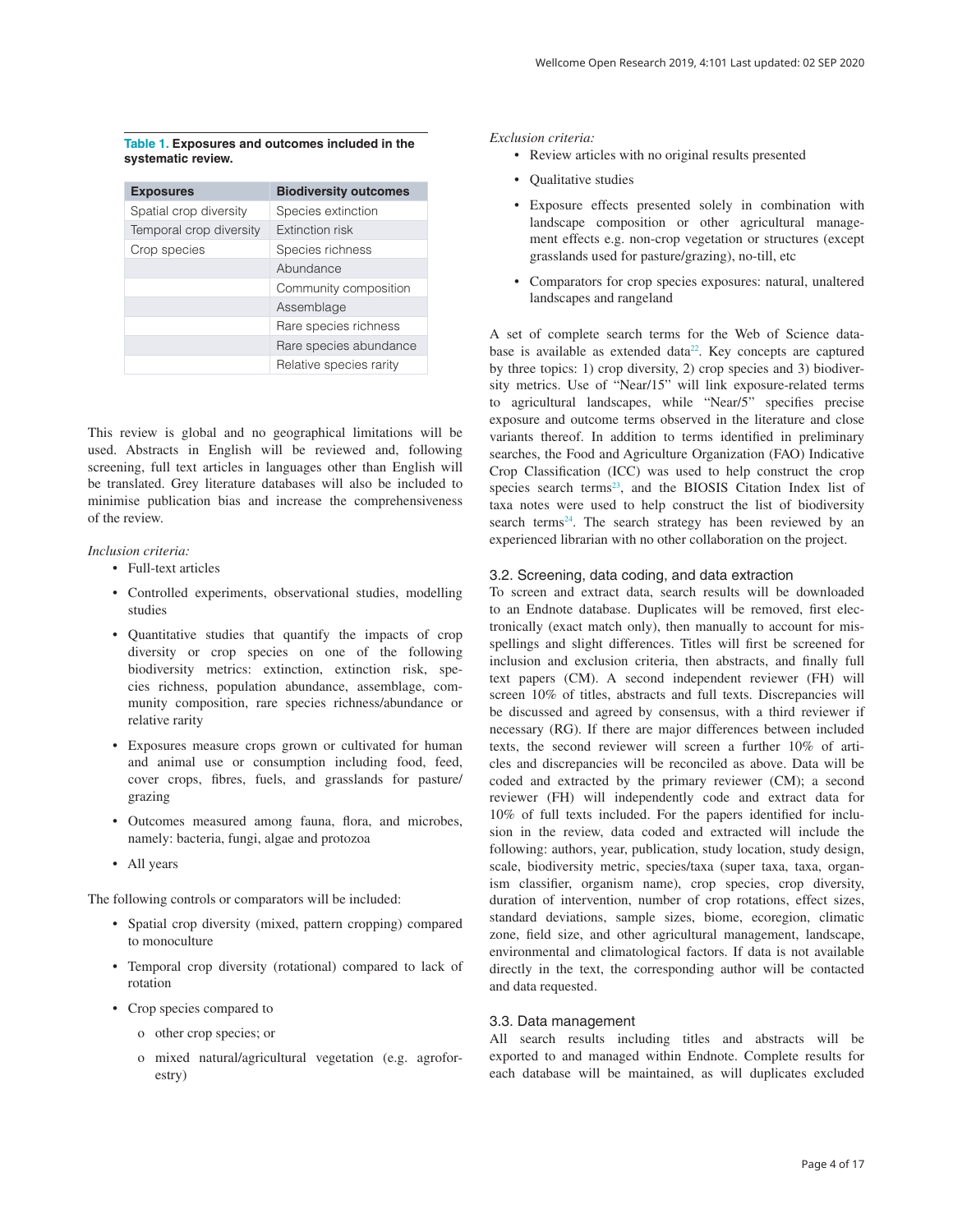#### <span id="page-3-0"></span>**Table 1. Exposures and outcomes included in the systematic review.**

| <b>Exposures</b>        | <b>Biodiversity outcomes</b> |
|-------------------------|------------------------------|
| Spatial crop diversity  | Species extinction           |
| Temporal crop diversity | <b>Extinction risk</b>       |
| Crop species            | Species richness             |
|                         | Abundance                    |
|                         | Community composition        |
|                         | Assemblage                   |
|                         | Rare species richness        |
|                         | Rare species abundance       |
|                         | Relative species rarity      |

This review is global and no geographical limitations will be used. Abstracts in English will be reviewed and, following screening, full text articles in languages other than English will be translated. Grey literature databases will also be included to minimise publication bias and increase the comprehensiveness of the review.

#### *Inclusion criteria:*

- Full-text articles
- Controlled experiments, observational studies, modelling studies
- Quantitative studies that quantify the impacts of crop diversity or crop species on one of the following biodiversity metrics: extinction, extinction risk, species richness, population abundance, assemblage, community composition, rare species richness/abundance or relative rarity
- Exposures measure crops grown or cultivated for human and animal use or consumption including food, feed, cover crops, fibres, fuels, and grasslands for pasture/ grazing
- Outcomes measured among fauna, flora, and microbes, namely: bacteria, fungi, algae and protozoa
- All years

The following controls or comparators will be included:

- Spatial crop diversity (mixed, pattern cropping) compared to monoculture
- Temporal crop diversity (rotational) compared to lack of rotation
- Crop species compared to
	- o other crop species; or
	- o mixed natural/agricultural vegetation (e.g. agroforestry)

#### *Exclusion criteria:*

- Review articles with no original results presented
- Qualitative studies
- Exposure effects presented solely in combination with landscape composition or other agricultural management effects e.g. non-crop vegetation or structures (except grasslands used for pasture/grazing), no-till, etc
- Comparators for crop species exposures: natural, unaltered landscapes and rangeland

A set of complete search terms for the Web of Science data-base is available as extended data<sup>[22](#page-6-0)</sup>. Key concepts are captured by three topics: 1) crop diversity, 2) crop species and 3) biodiversity metrics. Use of "Near/15" will link exposure-related terms to agricultural landscapes, while "Near/5" specifies precise exposure and outcome terms observed in the literature and close variants thereof. In addition to terms identified in preliminary searches, the Food and Agriculture Organization (FAO) Indicative Crop Classification (ICC) was used to help construct the crop species search terms<sup>23</sup>, and the BIOSIS Citation Index list of taxa notes were used to help construct the list of biodiversity search terms<sup>[24](#page-6-0)</sup>. The search strategy has been reviewed by an experienced librarian with no other collaboration on the project.

#### 3.2. Screening, data coding, and data extraction

To screen and extract data, search results will be downloaded to an Endnote database. Duplicates will be removed, first electronically (exact match only), then manually to account for misspellings and slight differences. Titles will first be screened for inclusion and exclusion criteria, then abstracts, and finally full text papers (CM). A second independent reviewer (FH) will screen 10% of titles, abstracts and full texts. Discrepancies will be discussed and agreed by consensus, with a third reviewer if necessary (RG). If there are major differences between included texts, the second reviewer will screen a further 10% of articles and discrepancies will be reconciled as above. Data will be coded and extracted by the primary reviewer (CM); a second reviewer (FH) will independently code and extract data for 10% of full texts included. For the papers identified for inclusion in the review, data coded and extracted will include the following: authors, year, publication, study location, study design, scale, biodiversity metric, species/taxa (super taxa, taxa, organism classifier, organism name), crop species, crop diversity, duration of intervention, number of crop rotations, effect sizes, standard deviations, sample sizes, biome, ecoregion, climatic zone, field size, and other agricultural management, landscape, environmental and climatological factors. If data is not available directly in the text, the corresponding author will be contacted and data requested.

#### 3.3. Data management

All search results including titles and abstracts will be exported to and managed within Endnote. Complete results for each database will be maintained, as will duplicates excluded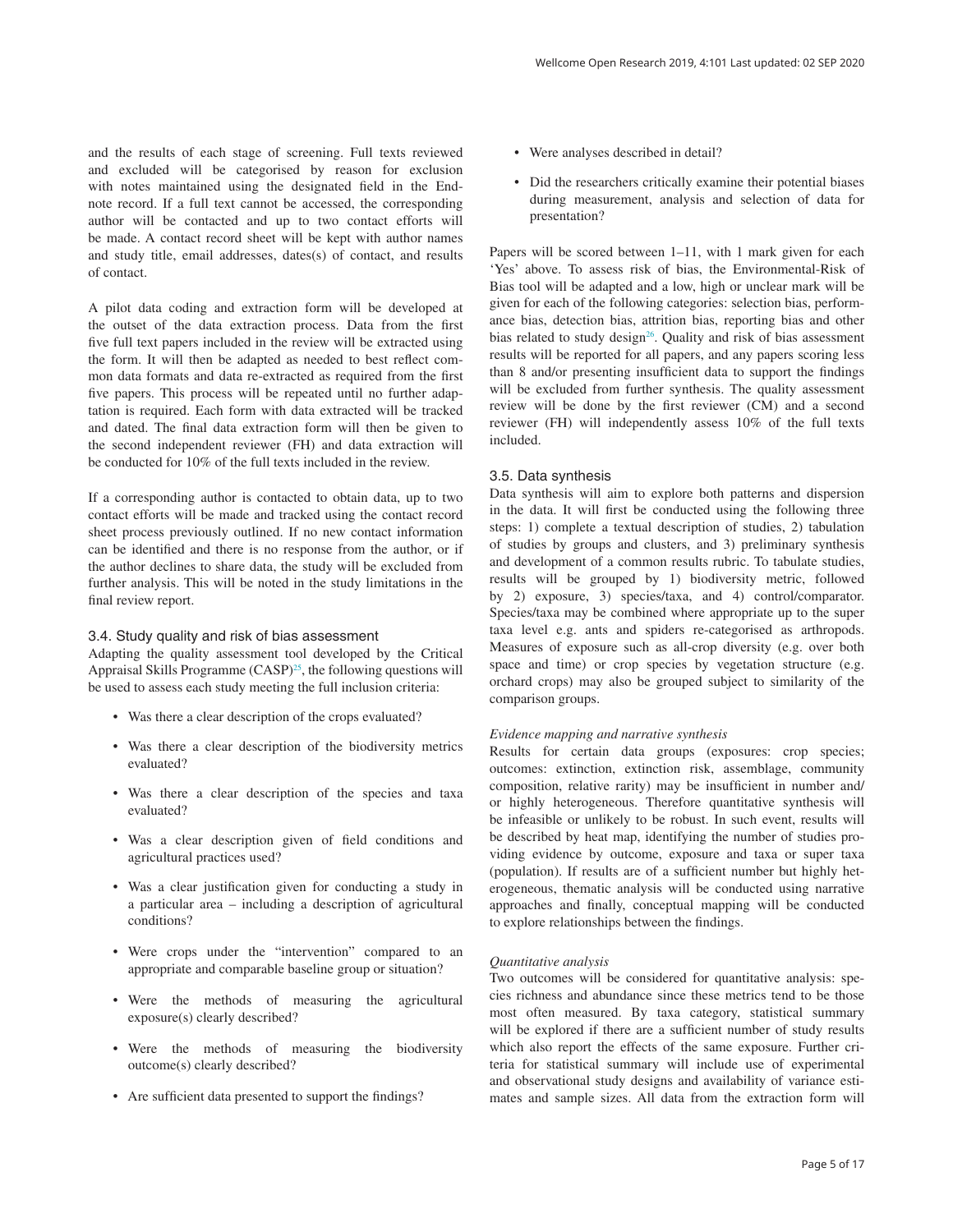<span id="page-4-0"></span>and the results of each stage of screening. Full texts reviewed and excluded will be categorised by reason for exclusion with notes maintained using the designated field in the Endnote record. If a full text cannot be accessed, the corresponding author will be contacted and up to two contact efforts will be made. A contact record sheet will be kept with author names and study title, email addresses, dates(s) of contact, and results of contact.

A pilot data coding and extraction form will be developed at the outset of the data extraction process. Data from the first five full text papers included in the review will be extracted using the form. It will then be adapted as needed to best reflect common data formats and data re-extracted as required from the first five papers. This process will be repeated until no further adaptation is required. Each form with data extracted will be tracked and dated. The final data extraction form will then be given to the second independent reviewer (FH) and data extraction will be conducted for 10% of the full texts included in the review.

If a corresponding author is contacted to obtain data, up to two contact efforts will be made and tracked using the contact record sheet process previously outlined. If no new contact information can be identified and there is no response from the author, or if the author declines to share data, the study will be excluded from further analysis. This will be noted in the study limitations in the final review report.

### 3.4. Study quality and risk of bias assessment

Adapting the quality assessment tool developed by the Critical Appraisal Skills Programme  $(CASP)^{25}$ , the following questions will be used to assess each study meeting the full inclusion criteria:

- Was there a clear description of the crops evaluated?
- Was there a clear description of the biodiversity metrics evaluated?
- Was there a clear description of the species and taxa evaluated?
- Was a clear description given of field conditions and agricultural practices used?
- Was a clear justification given for conducting a study in a particular area – including a description of agricultural conditions?
- Were crops under the "intervention" compared to an appropriate and comparable baseline group or situation?
- Were the methods of measuring the agricultural exposure(s) clearly described?
- Were the methods of measuring the biodiversity outcome(s) clearly described?
- Are sufficient data presented to support the findings?
- Were analyses described in detail?
- Did the researchers critically examine their potential biases during measurement, analysis and selection of data for presentation?

Papers will be scored between 1–11, with 1 mark given for each 'Yes' above. To assess risk of bias, the Environmental-Risk of Bias tool will be adapted and a low, high or unclear mark will be given for each of the following categories: selection bias, performance bias, detection bias, attrition bias, reporting bias and other bias related to study design<sup>26</sup>. Quality and risk of bias assessment results will be reported for all papers, and any papers scoring less than 8 and/or presenting insufficient data to support the findings will be excluded from further synthesis. The quality assessment review will be done by the first reviewer (CM) and a second reviewer (FH) will independently assess 10% of the full texts included.

### 3.5. Data synthesis

Data synthesis will aim to explore both patterns and dispersion in the data. It will first be conducted using the following three steps: 1) complete a textual description of studies, 2) tabulation of studies by groups and clusters, and 3) preliminary synthesis and development of a common results rubric. To tabulate studies, results will be grouped by 1) biodiversity metric, followed by 2) exposure, 3) species/taxa, and 4) control/comparator. Species/taxa may be combined where appropriate up to the super taxa level e.g. ants and spiders re-categorised as arthropods. Measures of exposure such as all-crop diversity (e.g. over both space and time) or crop species by vegetation structure (e.g. orchard crops) may also be grouped subject to similarity of the comparison groups.

#### *Evidence mapping and narrative synthesis*

Results for certain data groups (exposures: crop species; outcomes: extinction, extinction risk, assemblage, community composition, relative rarity) may be insufficient in number and/ or highly heterogeneous. Therefore quantitative synthesis will be infeasible or unlikely to be robust. In such event, results will be described by heat map, identifying the number of studies providing evidence by outcome, exposure and taxa or super taxa (population). If results are of a sufficient number but highly heterogeneous, thematic analysis will be conducted using narrative approaches and finally, conceptual mapping will be conducted to explore relationships between the findings.

#### *Quantitative analysis*

Two outcomes will be considered for quantitative analysis: species richness and abundance since these metrics tend to be those most often measured. By taxa category, statistical summary will be explored if there are a sufficient number of study results which also report the effects of the same exposure. Further criteria for statistical summary will include use of experimental and observational study designs and availability of variance estimates and sample sizes. All data from the extraction form will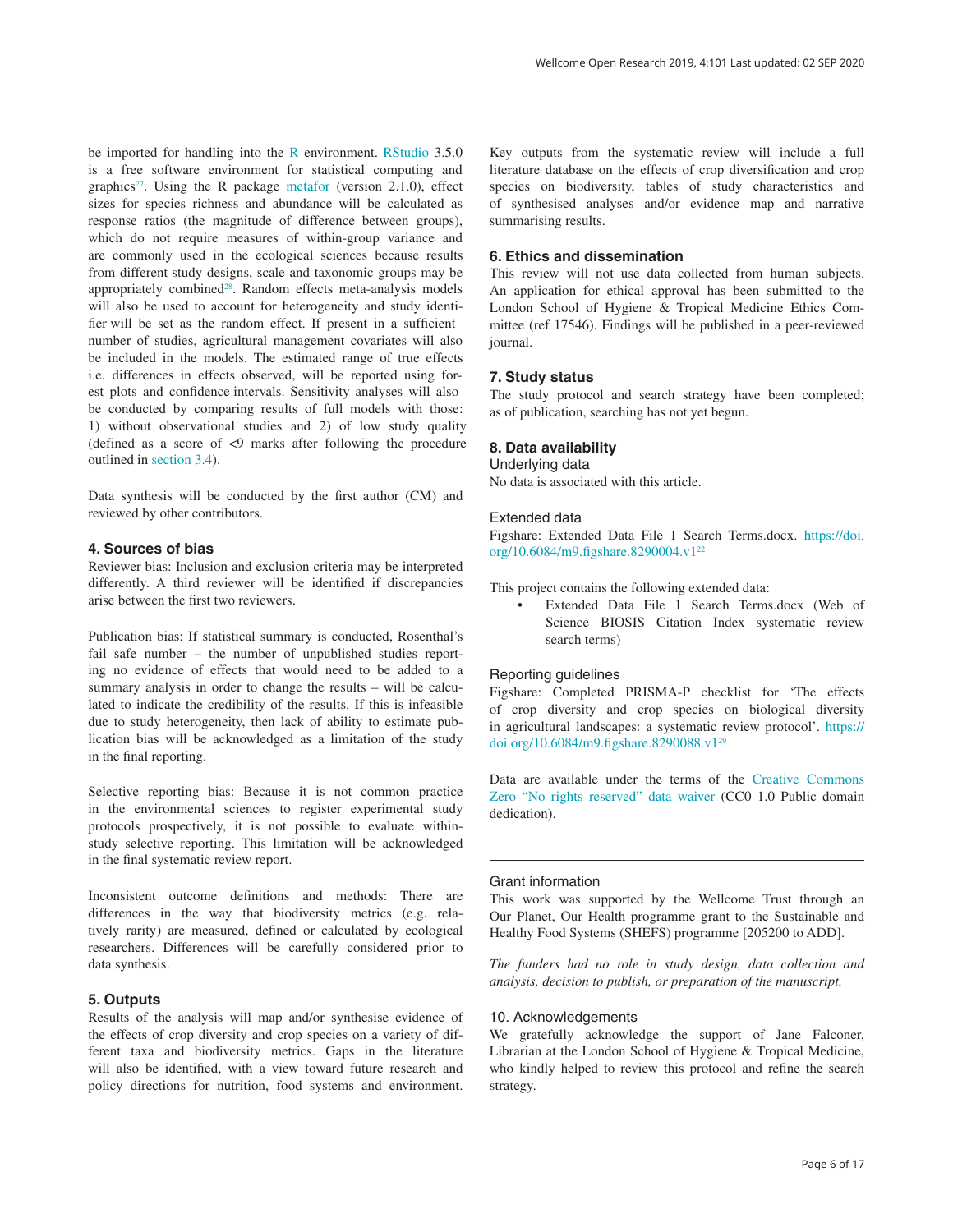be imported for handling into the [R](https://r-project.org/) environment. [RStudio](https://www.rstudio.com/) 3.5.0 is a free software environment for statistical computing and graphics<sup>[27](#page-6-0)</sup>. Using the R package [metafor](https://cran.r-project.org/web/packages/metafor/index.html) (version 2.1.0), effect sizes for species richness and abundance will be calculated as response ratios (the magnitude of difference between groups), which do not require measures of within-group variance and are commonly used in the ecological sciences because results from different study designs, scale and taxonomic groups may be appropriately combined<sup>[28](#page-6-0)</sup>. Random effects meta-analysis models will also be used to account for heterogeneity and study identifier will be set as the random effect. If present in a sufficient number of studies, agricultural management covariates will also be included in the models. The estimated range of true effects i.e. differences in effects observed, will be reported using forest plots and confidence intervals. Sensitivity analyses will also be conducted by comparing results of full models with those: 1) without observational studies and 2) of low study quality (defined as a score of <9 marks after following the procedure outlined in [section 3.4](#page-4-0)).

Data synthesis will be conducted by the first author (CM) and reviewed by other contributors.

### **4. Sources of bias**

Reviewer bias: Inclusion and exclusion criteria may be interpreted differently. A third reviewer will be identified if discrepancies arise between the first two reviewers.

Publication bias: If statistical summary is conducted, Rosenthal's fail safe number – the number of unpublished studies reporting no evidence of effects that would need to be added to a summary analysis in order to change the results – will be calculated to indicate the credibility of the results. If this is infeasible due to study heterogeneity, then lack of ability to estimate publication bias will be acknowledged as a limitation of the study in the final reporting.

Selective reporting bias: Because it is not common practice in the environmental sciences to register experimental study protocols prospectively, it is not possible to evaluate withinstudy selective reporting. This limitation will be acknowledged in the final systematic review report.

Inconsistent outcome definitions and methods: There are differences in the way that biodiversity metrics (e.g. relatively rarity) are measured, defined or calculated by ecological researchers. Differences will be carefully considered prior to data synthesis.

### **5. Outputs**

Results of the analysis will map and/or synthesise evidence of the effects of crop diversity and crop species on a variety of different taxa and biodiversity metrics. Gaps in the literature will also be identified, with a view toward future research and policy directions for nutrition, food systems and environment.

Key outputs from the systematic review will include a full literature database on the effects of crop diversification and crop species on biodiversity, tables of study characteristics and of synthesised analyses and/or evidence map and narrative summarising results.

### **6. Ethics and dissemination**

This review will not use data collected from human subjects. An application for ethical approval has been submitted to the London School of Hygiene & Tropical Medicine Ethics Committee (ref 17546). Findings will be published in a peer-reviewed journal.

### **7. Study status**

The study protocol and search strategy have been completed; as of publication, searching has not yet begun.

### **8. Data availability**

#### Underlying data

No data is associated with this article.

### Extended data

Figshare: Extended Data File 1 Search Terms.docx. [https://doi.](https://doi.org/10.6084/m9.figshare.8290004.v1) [org/10.6084/m9.figshare.8290004.v1](https://doi.org/10.6084/m9.figshare.8290004.v1)[22](#page-6-0)

This project contains the following extended data:

• Extended Data File 1 Search Terms.docx (Web of Science BIOSIS Citation Index systematic review search terms)

### Reporting guidelines

Figshare: Completed PRISMA-P checklist for 'The effects of crop diversity and crop species on biological diversity in agricultural landscapes: a systematic review protocol'. [https://](https://doi.org/10.6084/m9.figshare.8290088.v1) [doi.org/10.6084/m9.figshare.8290088.v1](https://doi.org/10.6084/m9.figshare.8290088.v1)[29](#page-6-0)

Data are available under the terms of the [Creative Commons](http://creativecommons.org/publicdomain/zero/1.0/) [Zero "No rights reserved" data waiver](http://creativecommons.org/publicdomain/zero/1.0/) (CC0 1.0 Public domain dedication).

### Grant information

This work was supported by the Wellcome Trust through an Our Planet, Our Health programme grant to the Sustainable and Healthy Food Systems (SHEFS) programme [205200 to ADD].

*The funders had no role in study design, data collection and analysis, decision to publish, or preparation of the manuscript.*

#### 10. Acknowledgements

We gratefully acknowledge the support of Jane Falconer, Librarian at the London School of Hygiene & Tropical Medicine, who kindly helped to review this protocol and refine the search strategy.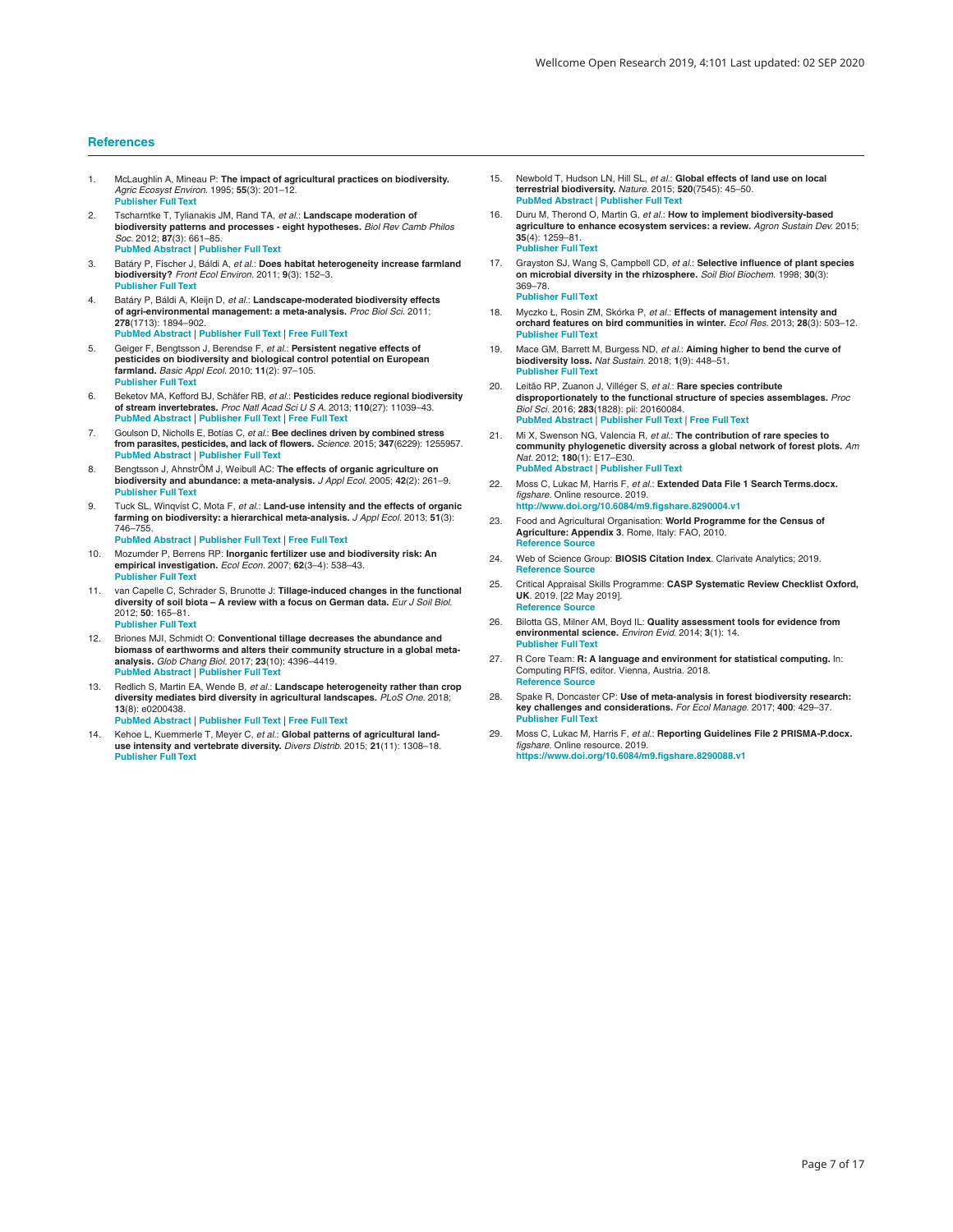#### <span id="page-6-0"></span>**References**

- 1. McLaughlin A, Mineau P: **The impact of agricultural practices on biodiversity.** *Agric Ecosyst Environ.* 1995; **55**(3): 201–12. **[Publisher Full Text](http://dx.doi.org/10.1016/0167-8809(95)00609-V)**
- 2. Tscharntke T, Tylianakis JM, Rand TA, *et al.*: **Landscape moderation of biodiversity patterns and processes eight hypotheses.** *Biol Rev Camb Philos Soc.* 2012; **87**(3): 661–85. **[PubMed Abstract](http://www.ncbi.nlm.nih.gov/pubmed/22272640)** | **[Publisher Full Text](http://dx.doi.org/10.1111/j.1469-185X.2011.00216.x)**
- 3. Batáry P, Fischer J, Báldi A, *et al.*: **Does habitat heterogeneity increase farmland biodiversity?** *Front Ecol Environ.* 2011; **9**(3): 152–3. **[Publisher Full Text](http://dx.doi.org/10.1890/11.WB.006)**
- 4. Batáry P, Báldi A, Kleijn D, *et al.*: **Landscape-moderated biodiversity effects of agri-environmental management: a meta-analysis.** *Proc Biol Sci.* 2011; **278**(1713): 1894–902. **[PubMed Abstract](http://www.ncbi.nlm.nih.gov/pubmed/21106585)** | **[Publisher Full Text](http://dx.doi.org/10.1098/rspb.2010.1923)** | **[Free Full Text](http://www.ncbi.nlm.nih.gov/pmc/articles/3097824)**
- 5. Geiger F, Bengtsson J, Berendse F, *et al.*: **Persistent negative effects of pesticides on biodiversity and biological control potential on European farmland.** *Basic Appl Ecol.* 2010; **11**(2): 97–105. **[Publisher Full Text](http://dx.doi.org/10.1016/j.baae.2009.12.001)**
- 6. Beketov MA, Kefford BJ, Schäfer RB, *et al.*: **Pesticides reduce regional biodiversity of stream invertebrates.** *Proc Natl Acad Sci U S A.* 2013; **110**(27): 11039–43. **[PubMed Abstract](http://www.ncbi.nlm.nih.gov/pubmed/23776226)** | **[Publisher Full Text](http://dx.doi.org/10.1073/pnas.1305618110)** | **[Free Full Text](http://www.ncbi.nlm.nih.gov/pmc/articles/3704006)**
- 7. Goulson D, Nicholls E, Botías C, *et al.*: **Bee declines driven by combined stress from parasites, pesticides, and lack of flowers.** *Science.* 2015; **347**(6229): 1255957. **[PubMed Abstract](http://www.ncbi.nlm.nih.gov/pubmed/25721506)** | **[Publisher Full Text](http://dx.doi.org/10.1126/science.1255957)**
- 8. Bengtsson J, AhnstrÖM J, Weibull AC: **The effects of organic agriculture on biodiversity and abundance: a meta-analysis.** *J Appl Ecol.* 2005; **42**(2): 261–9. **[Publisher Full Text](http://dx.doi.org/10.1111/j.1365-2664.2005.01005.x)**
- 9. Tuck SL, Winqvist C, Mota F, *et al.*: **Land-use intensity and the effects of organic farming on biodiversity: a hierarchical meta-analysis.** *J Appl Ecol.* 2013; **51**(3): 746–755.
	- **[PubMed Abstract](http://www.ncbi.nlm.nih.gov/pubmed/25653457)** | **[Publisher Full Text](http://dx.doi.org/10.1111/1365-2664.12219)** | **[Free Full Text](http://www.ncbi.nlm.nih.gov/pmc/articles/4299503)**
- 10. Mozumder P, Berrens RP: **Inorganic fertilizer use and biodiversity risk: An empirical investigation.** *Ecol Econ.* 2007; **62**(3–4): 538–43. **[Publisher Full Text](http://dx.doi.org/10.1016/j.ecolecon.2006.07.016)**
- 11. van Capelle C, Schrader S, Brunotte J: **Tillage-induced changes in the functional diversity of soil biota – A review with a focus on German data.** *Eur J Soil Biol.* 2012; **50**: 165–81. **[Publisher Full Text](http://dx.doi.org/10.1016/j.ejsobi.2012.02.005)**
- 12. Briones MJI, Schmidt O: **Conventional tillage decreases the abundance and biomass of earthworms and alters their community structure in a global metaanalysis.** *Glob Chang Biol.* 2017; **23**(10): 4396–4419. **[PubMed Abstract](http://www.ncbi.nlm.nih.gov/pubmed/28464547)** | **[Publisher Full Text](http://dx.doi.org/10.1111/gcb.13744)**
- 13. Redlich S, Martin EA, Wende B, *et al.*: **Landscape heterogeneity rather than crop diversity mediates bird diversity in agricultural landscapes.** *PLoS One.* 2018; **13**(8): e0200438.
- **[PubMed Abstract](http://www.ncbi.nlm.nih.gov/pubmed/30067851)** | **[Publisher Full Text](http://dx.doi.org/10.1371/journal.pone.0200438)** | **[Free Full Text](http://www.ncbi.nlm.nih.gov/pmc/articles/6070203)**
- Kehoe L, Kuemmerle T, Meyer C, et al.: Global patterns of agricultural land**use intensity and vertebrate diversity.** *Divers Distrib.* 2015; **21**(11): 1308–18. **[Publisher Full Text](http://dx.doi.org/10.1111/ddi.12359)**
- 15. Newbold T, Hudson LN, Hill SL, *et al.*: **Global effects of land use on local terrestrial biodiversity.** *Nature.* 2015; **520**(7545): 45–50. **[PubMed Abstract](http://www.ncbi.nlm.nih.gov/pubmed/25832402)** | **[Publisher Full Text](http://dx.doi.org/10.1038/nature14324)**
- 16. Duru M, Therond O, Martin G, *et al.*: **How to implement biodiversity-based agriculture to enhance ecosystem services: a review.** *Agron Sustain Dev.* 2015; **35**(4): 1259–81. **[Publisher Full Text](http://dx.doi.org/10.1007/s13593-015-0306-1)**
- 17. Grayston SJ, Wang S, Campbell CD, *et al.*: **Selective influence of plant species on microbial diversity in the rhizosphere.** *Soil Biol Biochem.* 1998; **30**(3): 369–78. **[Publisher Full Text](http://dx.doi.org/10.1016/S0038-0717(97)00124-7)**
- 18. Myczko Ł, Rosin ZM, Skórka P, *et al.*: **Effects of management intensity and orchard features on bird communities in winter.** *Ecol Res.* 2013; **28**(3): 503–12. **[Publisher Full Text](http://dx.doi.org/10.1007/s11284-013-1039-8)**
- 19. Mace GM, Barrett M, Burgess ND, *et al.*: **Aiming higher to bend the curve of biodiversity loss.** *Nat Sustain.* 2018; **1**(9): 448–51. **[Publisher Full Text](http://dx.doi.org/10.1038/s41893-018-0130-0)**
- 20. Leitão RP, Zuanon J, Villéger S, *et al.*: **Rare species contribute disproportionately to the functional structure of species assemblages.** *Proc Biol Sci.* 2016; **283**(1828): pii: 20160084. **[PubMed Abstract](http://www.ncbi.nlm.nih.gov/pubmed/27053754)** | **[Publisher Full Text](http://dx.doi.org/10.1098/rspb.2016.0084)** | **[Free Full Text](http://www.ncbi.nlm.nih.gov/pmc/articles/4843652)**
- 21. Mi X, Swenson NG, Valencia R, *et al.*: **The contribution of rare species to community phylogenetic diversity across a global network of forest plots.** *Am Nat.* 2012; **180**(1): E17–E30. **[PubMed Abstract](http://www.ncbi.nlm.nih.gov/pubmed/22673660)** | **[Publisher Full Text](http://dx.doi.org/10.1086/665999)**
- 22. Moss C, Lukac M, Harris F, *et al.*: **Extended Data File 1 Search Terms.docx.** *figshare.* Online resource. 2019. **<http://www.doi.org/10.6084/m9.figshare.8290004.v1>**
- 23. Food and Agricultural Organisation: **World Programme for the Census of Agriculture: Appendix 3**. Rome, Italy: FAO, 2010. **[Reference Source](https://clarivate.libguides.com/webofscienceplatform/bci)**
- 24. Web of Science Group: **BIOSIS Citation Index**. Clarivate Analytics; 2019. **Reference Soure**
- 25. Critical Appraisal Skills Programme: **CASP Systematic Review Checklist Oxford, UK**. 2019. [22 May 2019]. **Reference Soure**
- 26. Bilotta GS, Milner AM, Boyd IL: **Quality assessment tools for evidence from environmental science.** *Environ Evid.* 2014; **3**(1): 14. **[Publisher Full Text](http://dx.doi.org/10.1186/2047-2382-3-14)**
- 27. R Core Team: **R: A language and environment for statistical computing.** In: Computing RFfS, editor. Vienna, Austria. 2018. **[Reference Source](https://www.gbif.org/en/tool/81287/r-a-language-and-environment-for-statistical-computing)**
- 28. Spake R, Doncaster CP: **Use of meta-analysis in forest biodiversity research: key challenges and considerations.** *For Ecol Manage.* 2017; **400**: 429–37. **[Publisher Full Text](http://dx.doi.org/10.1016/j.foreco.2017.05.059)**
- 29. Moss C, Lukac M, Harris F, *et al.*: **Reporting Guidelines File 2 PRISMA-P.docx.** *figshare.* Online resource. 2019. **<https://www.doi.org/10.6084/m9.figshare.8290088.v1>**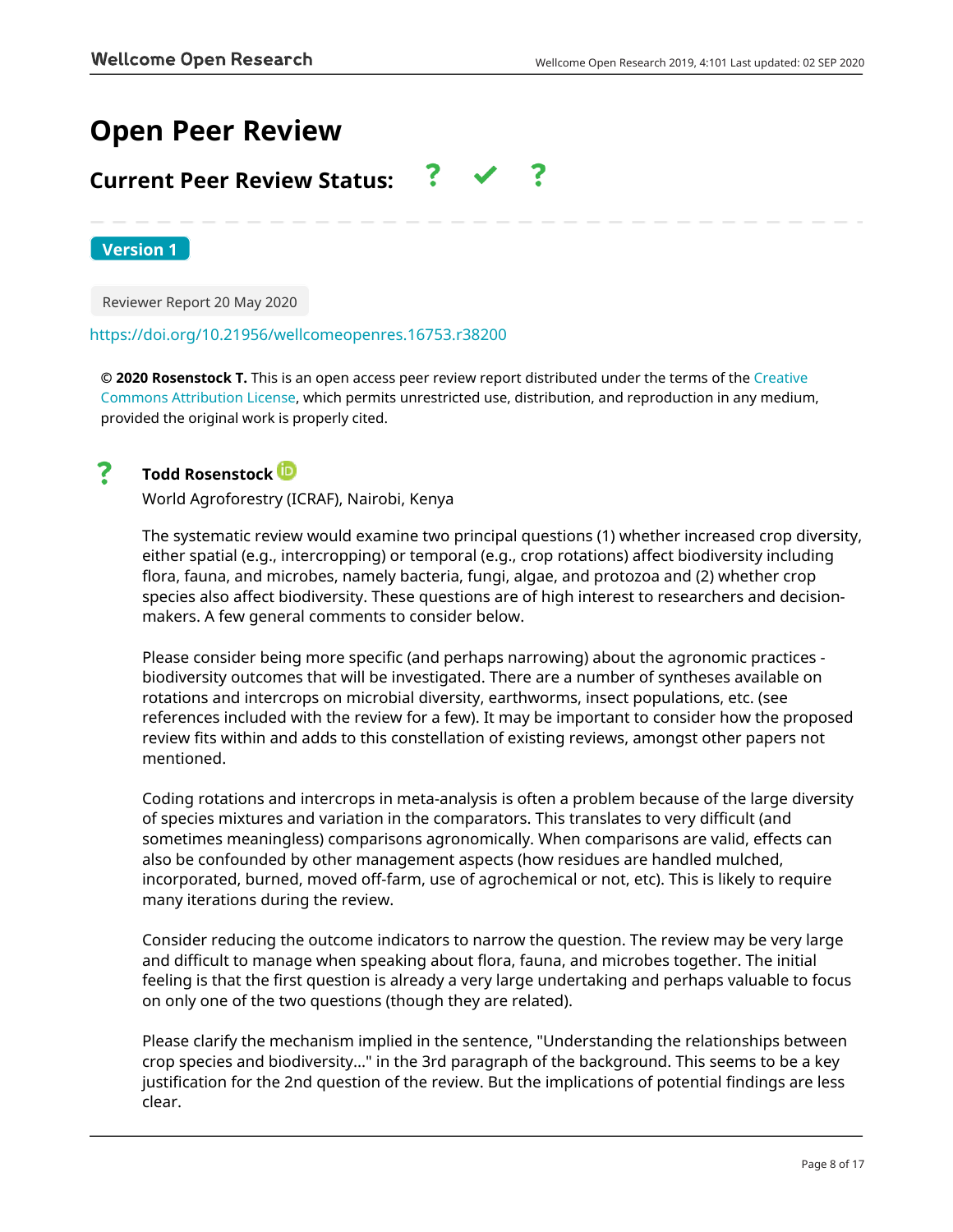# **Open Peer Review**

# **Current Peer Review Status:**

**Version 1**

Reviewer Report 20 May 2020

### <https://doi.org/10.21956/wellcomeopenres.16753.r38200>

**© 2020 Rosenstock T.** This is an open access peer review report distributed under the terms of the [Creative](https://creativecommons.org/licenses/by/4.0/) [Commons Attribution License](https://creativecommons.org/licenses/by/4.0/), which permits unrestricted use, distribution, and reproduction in any medium, provided the original work is properly cited.



### **Todd Rosenstock**

World Agroforestry (ICRAF), Nairobi, Kenya

The systematic review would examine two principal questions (1) whether increased crop diversity, either spatial (e.g., intercropping) or temporal (e.g., crop rotations) affect biodiversity including flora, fauna, and microbes, namely bacteria, fungi, algae, and protozoa and (2) whether crop species also affect biodiversity. These questions are of high interest to researchers and decisionmakers. A few general comments to consider below.

Please consider being more specific (and perhaps narrowing) about the agronomic practices biodiversity outcomes that will be investigated. There are a number of syntheses available on rotations and intercrops on microbial diversity, earthworms, insect populations, etc. (see references included with the review for a few). It may be important to consider how the proposed review fits within and adds to this constellation of existing reviews, amongst other papers not mentioned.

Coding rotations and intercrops in meta-analysis is often a problem because of the large diversity of species mixtures and variation in the comparators. This translates to very difficult (and sometimes meaningless) comparisons agronomically. When comparisons are valid, effects can also be confounded by other management aspects (how residues are handled mulched, incorporated, burned, moved off-farm, use of agrochemical or not, etc). This is likely to require many iterations during the review.

Consider reducing the outcome indicators to narrow the question. The review may be very large and difficult to manage when speaking about flora, fauna, and microbes together. The initial feeling is that the first question is already a very large undertaking and perhaps valuable to focus on only one of the two questions (though they are related).

Please clarify the mechanism implied in the sentence, "Understanding the relationships between crop species and biodiversity..." in the 3rd paragraph of the background. This seems to be a key justification for the 2nd question of the review. But the implications of potential findings are less clear.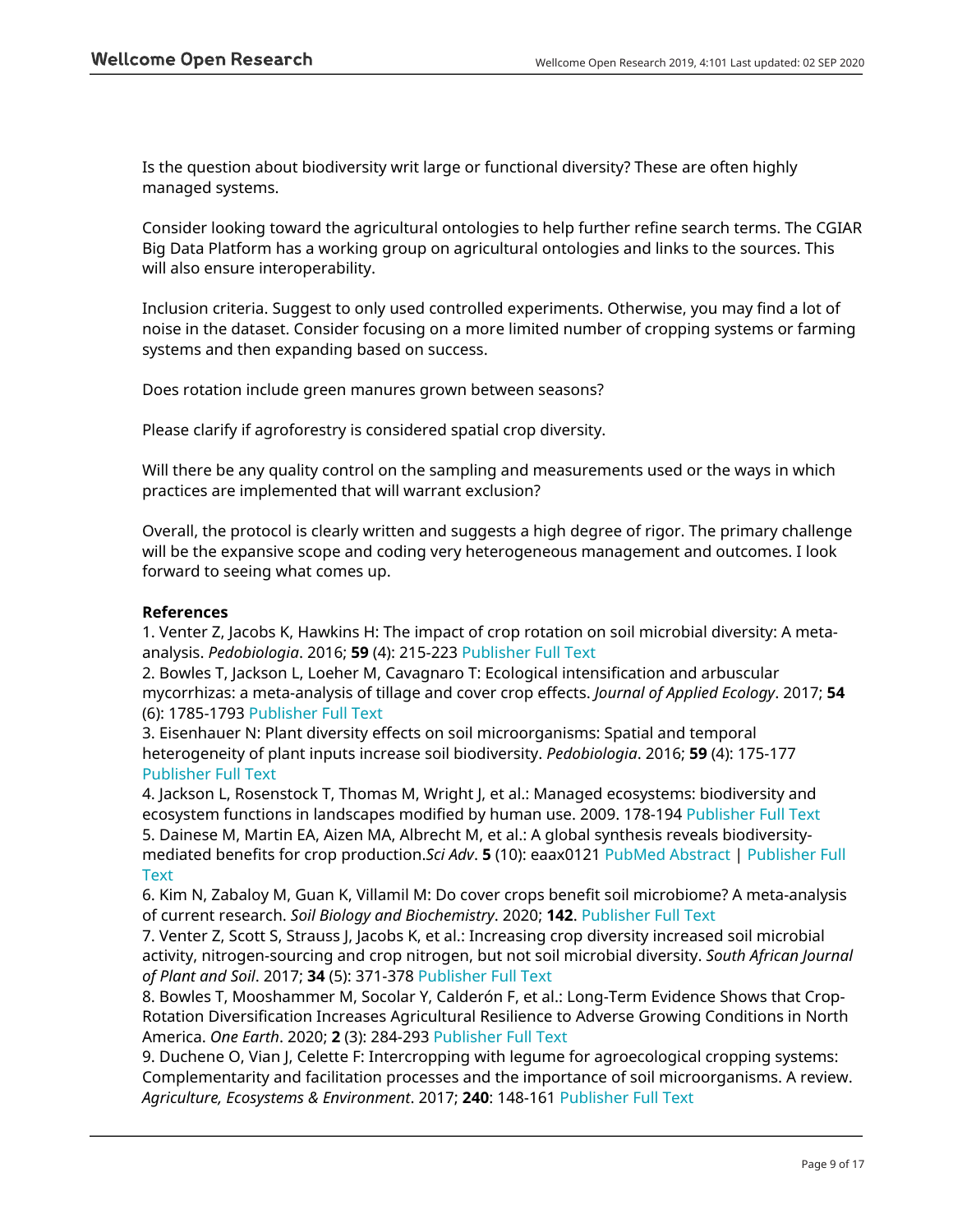Is the question about biodiversity writ large or functional diversity? These are often highly managed systems.

Consider looking toward the agricultural ontologies to help further refine search terms. The CGIAR Big Data Platform has a working group on agricultural ontologies and links to the sources. This will also ensure interoperability.

Inclusion criteria. Suggest to only used controlled experiments. Otherwise, you may find a lot of noise in the dataset. Consider focusing on a more limited number of cropping systems or farming systems and then expanding based on success.

Does rotation include green manures grown between seasons?

Please clarify if agroforestry is considered spatial crop diversity.

Will there be any quality control on the sampling and measurements used or the ways in which practices are implemented that will warrant exclusion?

Overall, the protocol is clearly written and suggests a high degree of rigor. The primary challenge will be the expansive scope and coding very heterogeneous management and outcomes. I look forward to seeing what comes up.

### **References**

1. Venter Z, Jacobs K, Hawkins H: The impact of crop rotation on soil microbial diversity: A metaanalysis. *Pedobiologia*. 2016; **59** (4): 215-223 [Publisher Full Text](https://doi.org/10.1016/j.pedobi.2016.04.001)

2. Bowles T, Jackson L, Loeher M, Cavagnaro T: Ecological intensification and arbuscular mycorrhizas: a meta-analysis of tillage and cover crop effects. *Journal of Applied Ecology*. 2017; **54** (6): 1785-1793 [Publisher Full Text](https://doi.org/10.1111/1365-2664.12815)

3. Eisenhauer N: Plant diversity effects on soil microorganisms: Spatial and temporal heterogeneity of plant inputs increase soil biodiversity. *Pedobiologia*. 2016; **59** (4): 175-177 [Publisher Full Text](https://doi.org/10.1016/j.pedobi.2016.04.004)

4. Jackson L, Rosenstock T, Thomas M, Wright J, et al.: Managed ecosystems: biodiversity and ecosystem functions in landscapes modified by human use. 2009. 178-194 [Publisher Full Text](https://doi.org/10.1093/acprof:oso/9780199547951.003.0013) 5. Dainese M, Martin EA, Aizen MA, Albrecht M, et al.: A global synthesis reveals biodiversitymediated benefits for crop production.*Sci Adv*. **5** (10): eaax0121 [PubMed Abstract](http://www.ncbi.nlm.nih.gov/pubmed/31663019) | [Publisher Full](https://doi.org/10.1126/sciadv.aax0121) **[Text](https://doi.org/10.1126/sciadv.aax0121)** 

6. Kim N, Zabaloy M, Guan K, Villamil M: Do cover crops benefit soil microbiome? A meta-analysis of current research. *Soil Biology and Biochemistry*. 2020; **142**. [Publisher Full Text](https://doi.org/10.1016/j.soilbio.2019.107701)

7. Venter Z, Scott S, Strauss J, Jacobs K, et al.: Increasing crop diversity increased soil microbial activity, nitrogen-sourcing and crop nitrogen, but not soil microbial diversity. *South African Journal of Plant and Soil*. 2017; **34** (5): 371-378 [Publisher Full Text](https://doi.org/10.1080/02571862.2017.1317852)

8. Bowles T, Mooshammer M, Socolar Y, Calderón F, et al.: Long-Term Evidence Shows that Crop-Rotation Diversification Increases Agricultural Resilience to Adverse Growing Conditions in North America. *One Earth*. 2020; **2** (3): 284-293 [Publisher Full Text](https://doi.org/10.1016/j.oneear.2020.02.007)

9. Duchene O, Vian J, Celette F: Intercropping with legume for agroecological cropping systems: Complementarity and facilitation processes and the importance of soil microorganisms. A review. *Agriculture, Ecosystems & Environment*. 2017; **240**: 148-161 [Publisher Full Text](https://doi.org/10.1016/j.agee.2017.02.019)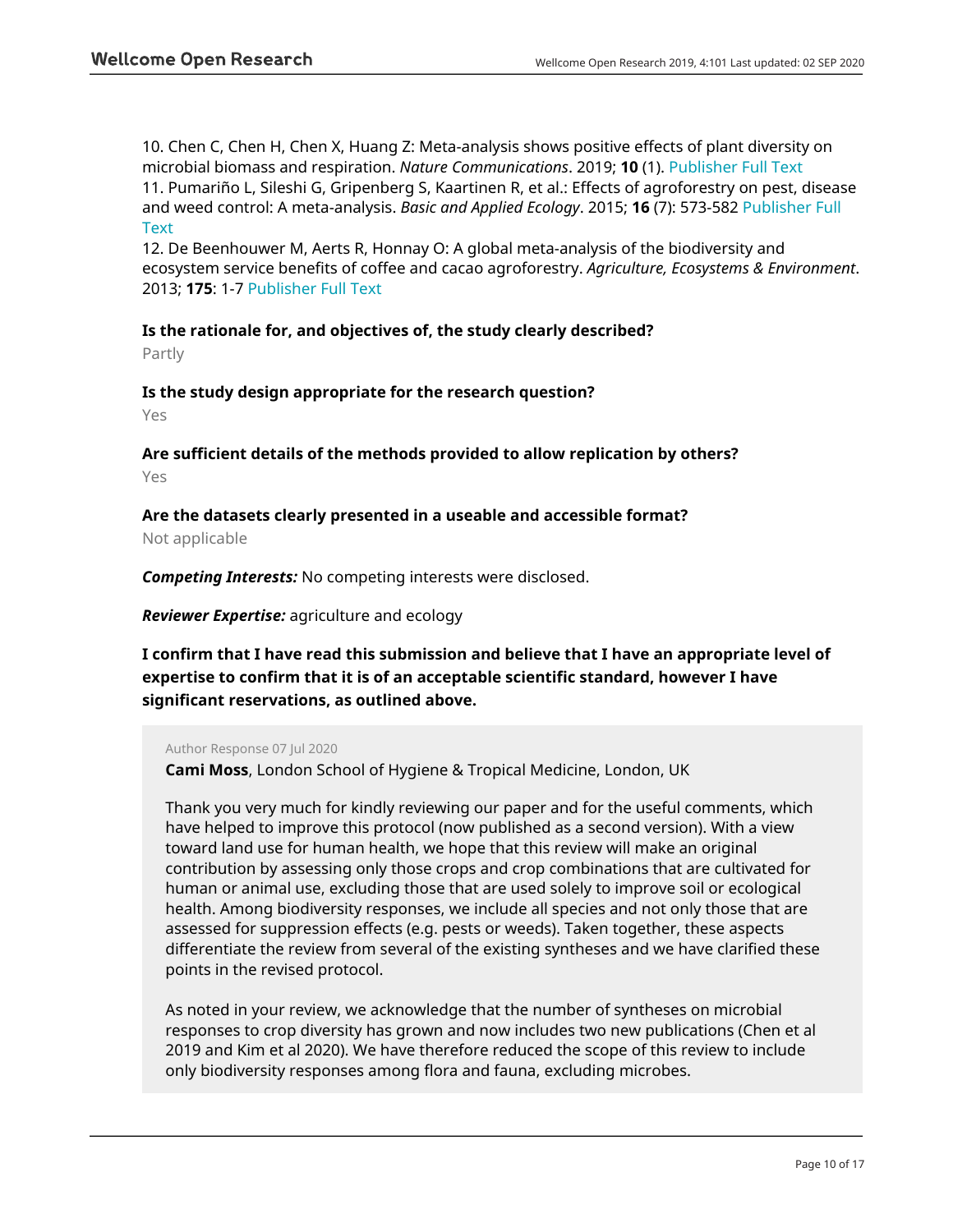10. Chen C, Chen H, Chen X, Huang Z: Meta-analysis shows positive effects of plant diversity on microbial biomass and respiration. *Nature Communications*. 2019; **10** (1). [Publisher Full Text](https://doi.org/10.1038/s41467-019-09258-y) 11. Pumariño L, Sileshi G, Gripenberg S, Kaartinen R, et al.: Effects of agroforestry on pest, disease and weed control: A meta-analysis. *Basic and Applied Ecology*. 2015; **16** (7): 573-582 [Publisher Full](https://doi.org/10.1016/j.baae.2015.08.006) **[Text](https://doi.org/10.1016/j.baae.2015.08.006)** 

12. De Beenhouwer M, Aerts R, Honnay O: A global meta-analysis of the biodiversity and ecosystem service benefits of coffee and cacao agroforestry. *Agriculture, Ecosystems & Environment*. 2013; **175**: 1-7 [Publisher Full Text](https://doi.org/10.1016/j.agee.2013.05.003)

### **Is the rationale for, and objectives of, the study clearly described?**

Partly

### **Is the study design appropriate for the research question?**

Yes

### **Are sufficient details of the methods provided to allow replication by others?** Yes

### **Are the datasets clearly presented in a useable and accessible format?**

Not applicable

*Competing Interests:* No competing interests were disclosed.

*Reviewer Expertise:* agriculture and ecology

### **I confirm that I have read this submission and believe that I have an appropriate level of expertise to confirm that it is of an acceptable scientific standard, however I have significant reservations, as outlined above.**

### Author Response 07 Jul 2020

**Cami Moss**, London School of Hygiene & Tropical Medicine, London, UK

Thank you very much for kindly reviewing our paper and for the useful comments, which have helped to improve this protocol (now published as a second version). With a view toward land use for human health, we hope that this review will make an original contribution by assessing only those crops and crop combinations that are cultivated for human or animal use, excluding those that are used solely to improve soil or ecological health. Among biodiversity responses, we include all species and not only those that are assessed for suppression effects (e.g. pests or weeds). Taken together, these aspects differentiate the review from several of the existing syntheses and we have clarified these points in the revised protocol.

As noted in your review, we acknowledge that the number of syntheses on microbial responses to crop diversity has grown and now includes two new publications (Chen et al 2019 and Kim et al 2020). We have therefore reduced the scope of this review to include only biodiversity responses among flora and fauna, excluding microbes.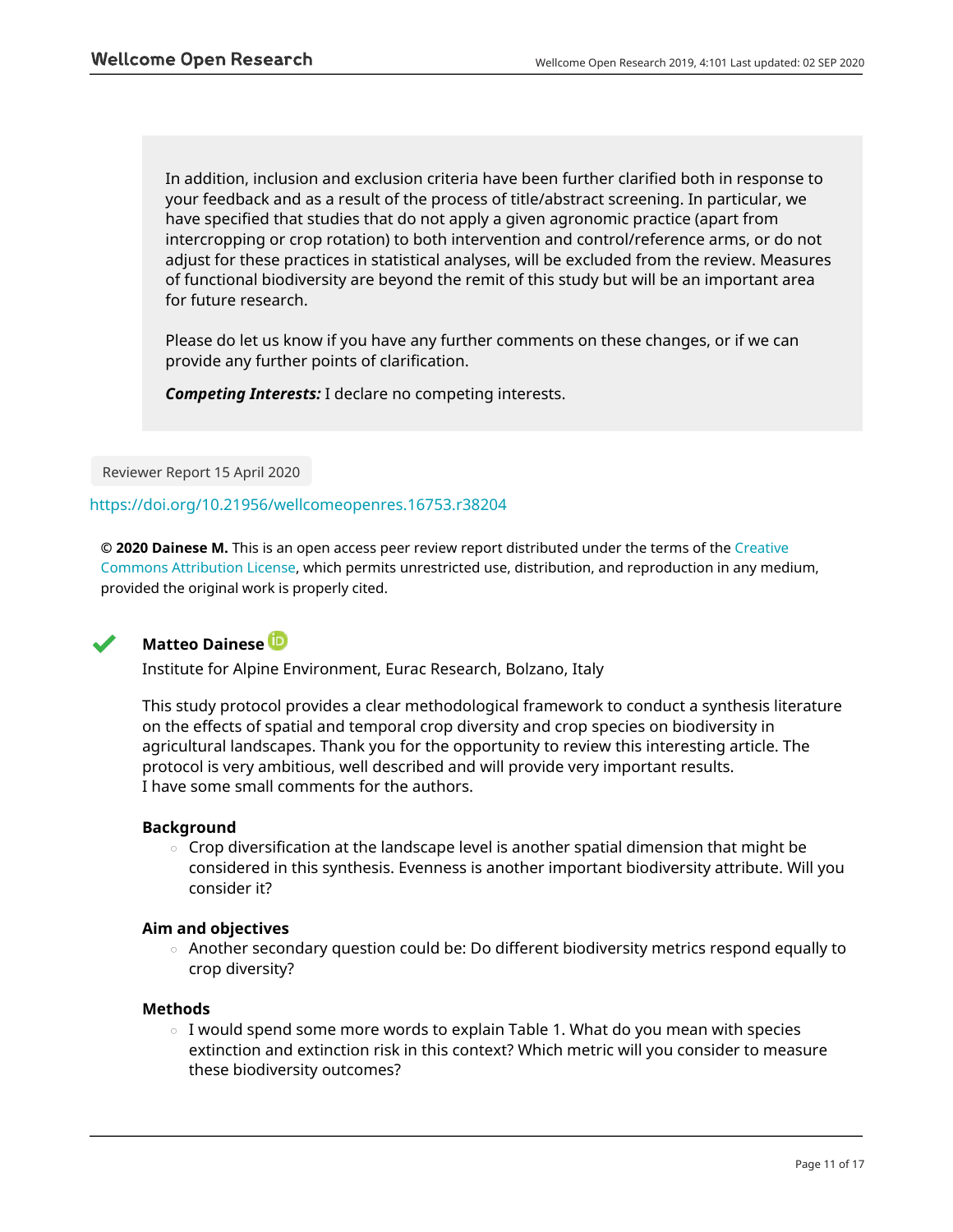In addition, inclusion and exclusion criteria have been further clarified both in response to your feedback and as a result of the process of title/abstract screening. In particular, we have specified that studies that do not apply a given agronomic practice (apart from intercropping or crop rotation) to both intervention and control/reference arms, or do not adjust for these practices in statistical analyses, will be excluded from the review. Measures of functional biodiversity are beyond the remit of this study but will be an important area for future research.

Please do let us know if you have any further comments on these changes, or if we can provide any further points of clarification.

*Competing Interests:* I declare no competing interests.

Reviewer Report 15 April 2020

<https://doi.org/10.21956/wellcomeopenres.16753.r38204>

**© 2020 Dainese M.** This is an open access peer review report distributed under the terms of the [Creative](https://creativecommons.org/licenses/by/4.0/) [Commons Attribution License](https://creativecommons.org/licenses/by/4.0/), which permits unrestricted use, distribution, and reproduction in any medium, provided the original work is properly cited.



### **Matteo Dainese**

Institute for Alpine Environment, Eurac Research, Bolzano, Italy

This study protocol provides a clear methodological framework to conduct a synthesis literature on the effects of spatial and temporal crop diversity and crop species on biodiversity in agricultural landscapes. Thank you for the opportunity to review this interesting article. The protocol is very ambitious, well described and will provide very important results. I have some small comments for the authors.

### **Background**

 $\circ~$  Crop diversification at the landscape level is another spatial dimension that might be considered in this synthesis. Evenness is another important biodiversity attribute. Will you consider it?

### **Aim and objectives**

 $\,\circ\,$  Another secondary question could be: Do different biodiversity metrics respond equally to crop diversity?

### **Methods**

 $\circ$  I would spend some more words to explain Table 1. What do you mean with species extinction and extinction risk in this context? Which metric will you consider to measure these biodiversity outcomes?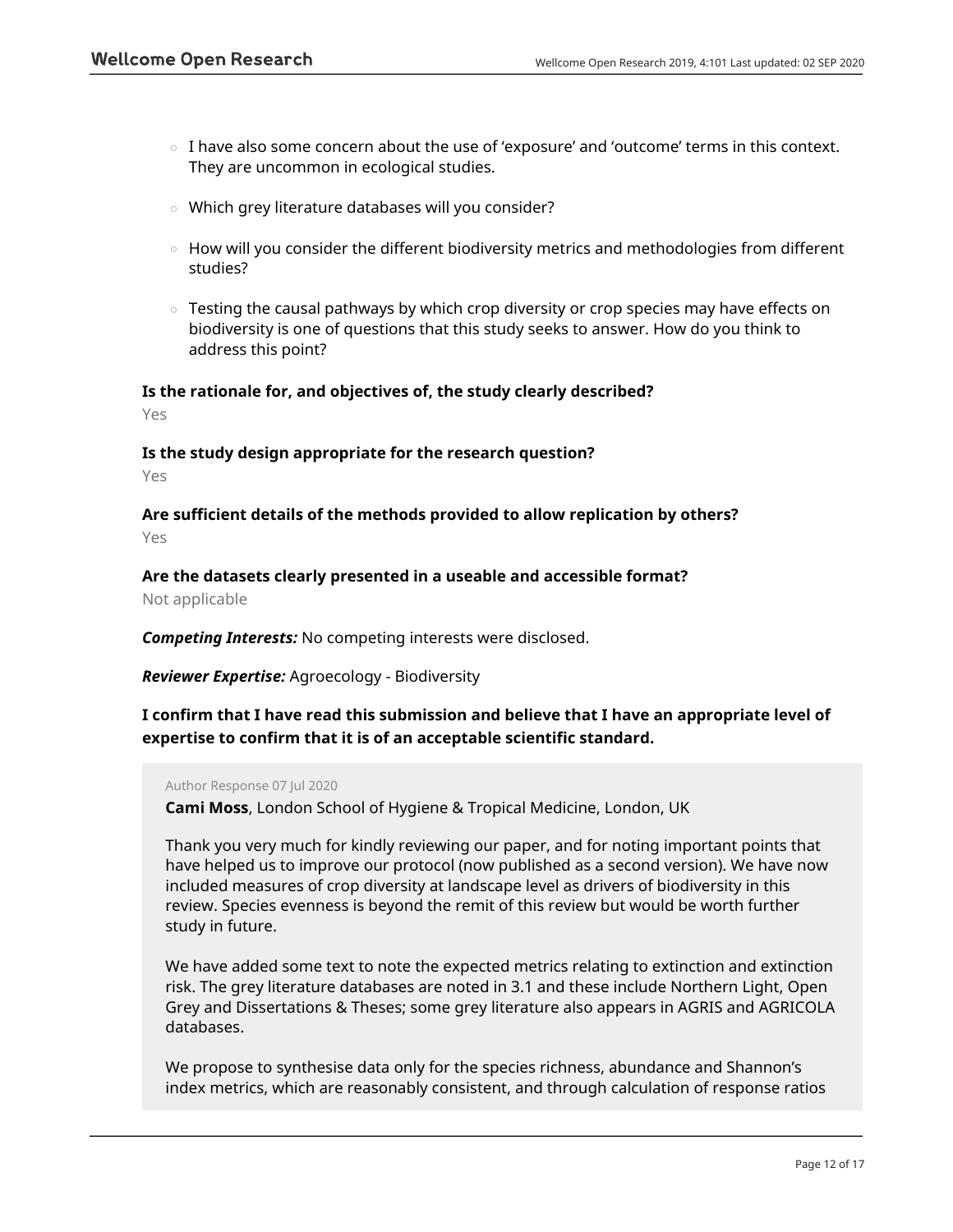- $\circ$  I have also some concern about the use of 'exposure' and 'outcome' terms in this context. They are uncommon in ecological studies.
- Which grey literature databases will you consider?
- $\,\circ\,$  How will you consider the different biodiversity metrics and methodologies from different studies?
- $\,\circ\,$  Testing the causal pathways by which crop diversity or crop species may have effects on biodiversity is one of questions that this study seeks to answer. How do you think to address this point?

## **Is the rationale for, and objectives of, the study clearly described?**

Yes

### **Is the study design appropriate for the research question?**

Yes

**Are sufficient details of the methods provided to allow replication by others?** Yes

**Are the datasets clearly presented in a useable and accessible format?** Not applicable

*Competing Interests:* No competing interests were disclosed.

*Reviewer Expertise:* Agroecology - Biodiversity

**I confirm that I have read this submission and believe that I have an appropriate level of expertise to confirm that it is of an acceptable scientific standard.**

### Author Response 07 Jul 2020

**Cami Moss**, London School of Hygiene & Tropical Medicine, London, UK

Thank you very much for kindly reviewing our paper, and for noting important points that have helped us to improve our protocol (now published as a second version). We have now included measures of crop diversity at landscape level as drivers of biodiversity in this review. Species evenness is beyond the remit of this review but would be worth further study in future.

We have added some text to note the expected metrics relating to extinction and extinction risk. The grey literature databases are noted in 3.1 and these include Northern Light, Open Grey and Dissertations & Theses; some grey literature also appears in AGRIS and AGRICOLA databases.

We propose to synthesise data only for the species richness, abundance and Shannon's index metrics, which are reasonably consistent, and through calculation of response ratios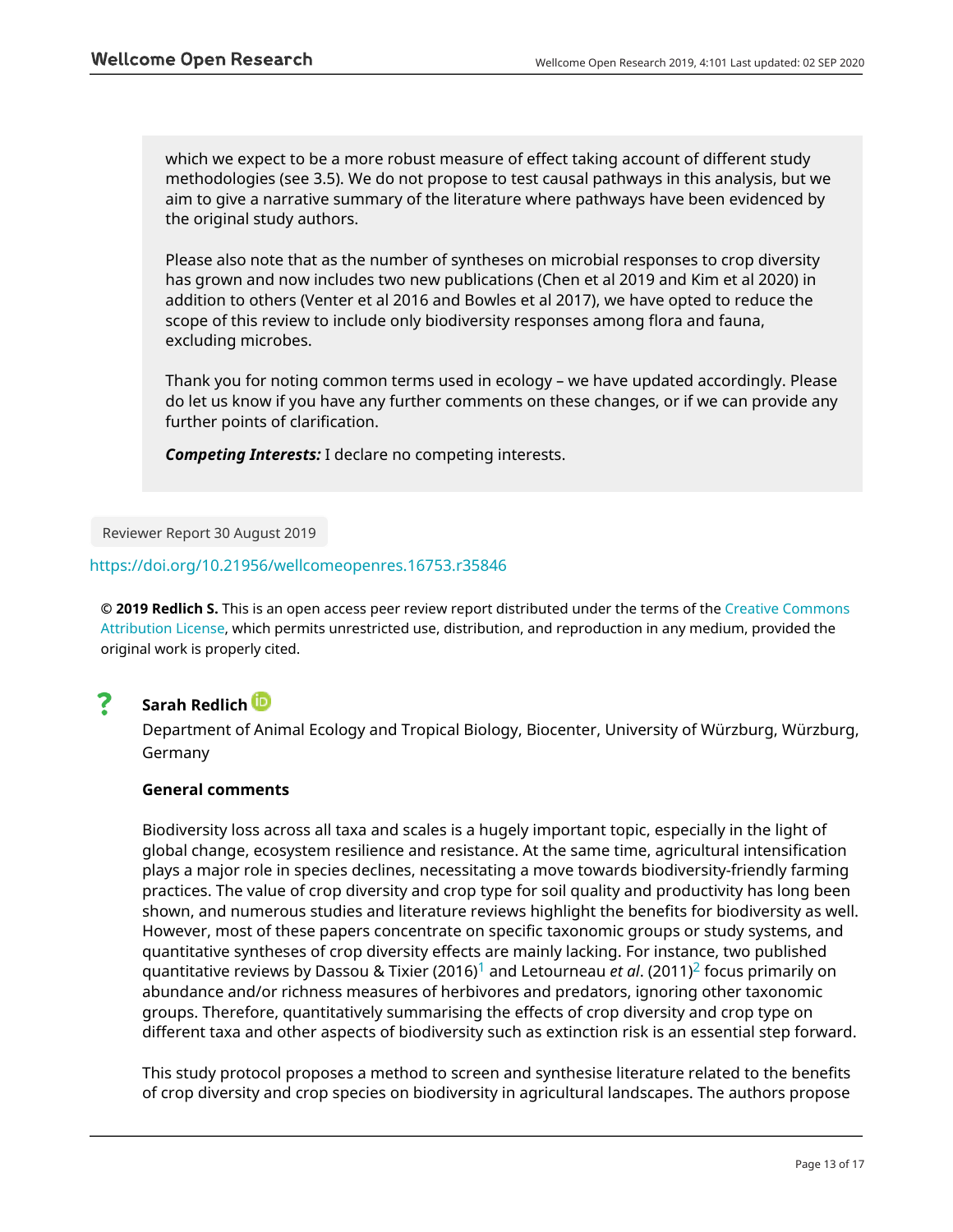which we expect to be a more robust measure of effect taking account of different study methodologies (see 3.5). We do not propose to test causal pathways in this analysis, but we aim to give a narrative summary of the literature where pathways have been evidenced by the original study authors.

Please also note that as the number of syntheses on microbial responses to crop diversity has grown and now includes two new publications (Chen et al 2019 and Kim et al 2020) in addition to others (Venter et al 2016 and Bowles et al 2017), we have opted to reduce the scope of this review to include only biodiversity responses among flora and fauna, excluding microbes.

Thank you for noting common terms used in ecology – we have updated accordingly. Please do let us know if you have any further comments on these changes, or if we can provide any further points of clarification.

*Competing Interests:* I declare no competing interests.

Reviewer Report 30 August 2019

### <https://doi.org/10.21956/wellcomeopenres.16753.r35846>

**© 2019 Redlich S.** This is an open access peer review report distributed under the terms of the [Creative Commons](https://creativecommons.org/licenses/by/4.0/) [Attribution License](https://creativecommons.org/licenses/by/4.0/), which permits unrestricted use, distribution, and reproduction in any medium, provided the original work is properly cited.



### **Sarah Redlich**

Department of Animal Ecology and Tropical Biology, Biocenter, University of Würzburg, Würzburg, Germany

### **General comments**

Biodiversity loss across all taxa and scales is a hugely important topic, especially in the light of global change, ecosystem resilience and resistance. At the same time, agricultural intensification plays a major role in species declines, necessitating a move towards biodiversity-friendly farming practices. The value of crop diversity and crop type for soil quality and productivity has long been shown, and numerous studies and literature reviews highlight the benefits for biodiversity as well. However, most of these papers concentrate on specific taxonomic groups or study systems, and quantitative syntheses of crop diversity effects are mainly lacking. For instance, two published quantitative reviews by Dassou & Tixier (2016)[1](jar:file:/work/f1000research/webapps/ROOT/WEB-INF/lib/service-1.0-SNAPSHOT.jar!/com/f1000research/service/export/pdf/#rep-ref-35846-1) and Letourneau *et al*. (2011)[2](jar:file:/work/f1000research/webapps/ROOT/WEB-INF/lib/service-1.0-SNAPSHOT.jar!/com/f1000research/service/export/pdf/#rep-ref-35846-2) focus primarily on abundance and/or richness measures of herbivores and predators, ignoring other taxonomic groups. Therefore, quantitatively summarising the effects of crop diversity and crop type on different taxa and other aspects of biodiversity such as extinction risk is an essential step forward.

This study protocol proposes a method to screen and synthesise literature related to the benefits of crop diversity and crop species on biodiversity in agricultural landscapes. The authors propose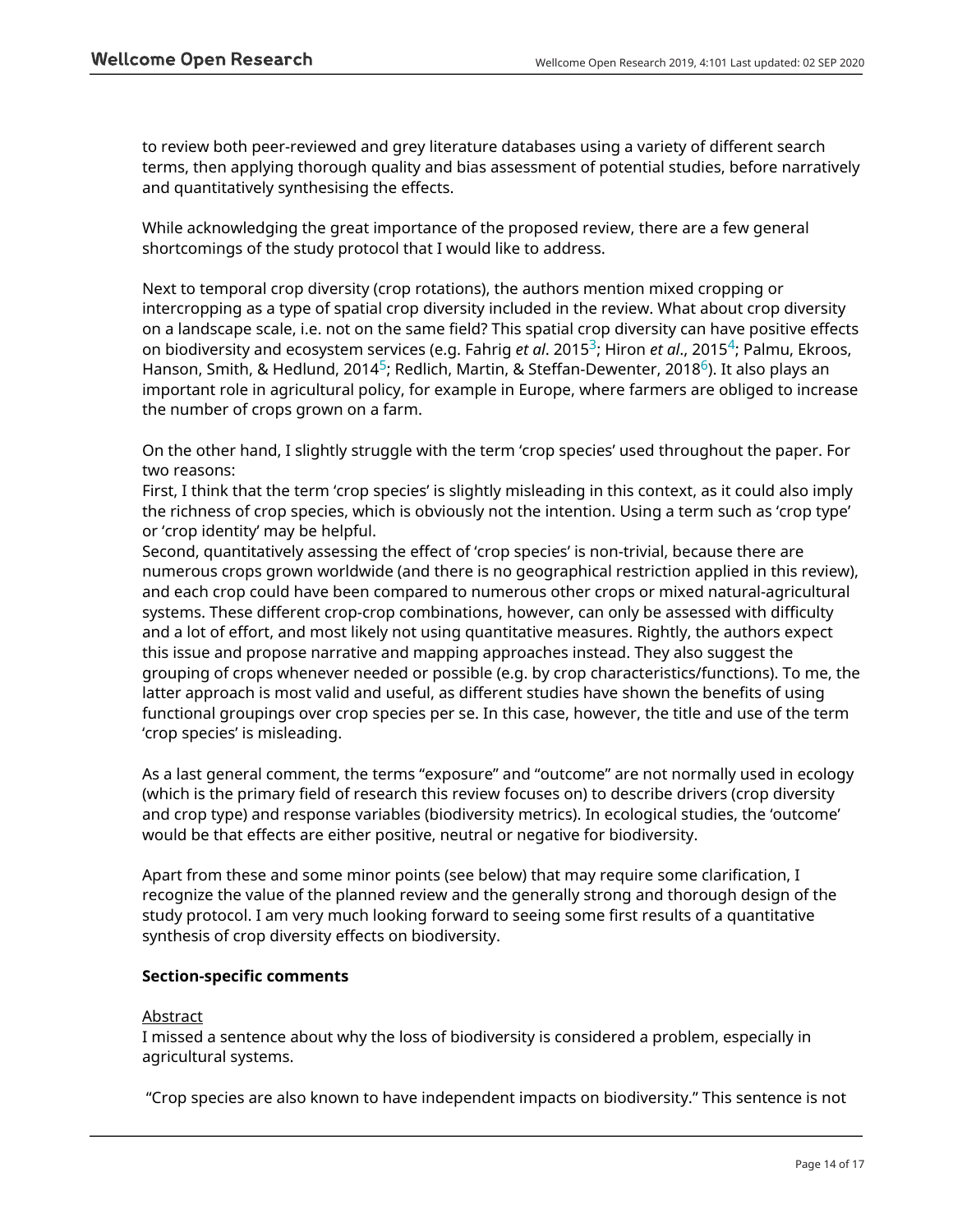to review both peer-reviewed and grey literature databases using a variety of different search terms, then applying thorough quality and bias assessment of potential studies, before narratively and quantitatively synthesising the effects.

While acknowledging the great importance of the proposed review, there are a few general shortcomings of the study protocol that I would like to address.

Next to temporal crop diversity (crop rotations), the authors mention mixed cropping or intercropping as a type of spatial crop diversity included in the review. What about crop diversity on a landscape scale, i.e. not on the same field? This spatial crop diversity can have positive effects on biodiversity and ecosystem services (e.g. Fahrig *et al*. 2015[3](jar:file:/work/f1000research/webapps/ROOT/WEB-INF/lib/service-1.0-SNAPSHOT.jar!/com/f1000research/service/export/pdf/#rep-ref-35846-3); Hiron *et al*., 2015[4](jar:file:/work/f1000research/webapps/ROOT/WEB-INF/lib/service-1.0-SNAPSHOT.jar!/com/f1000research/service/export/pdf/#rep-ref-35846-4); Palmu, Ekroos, Hanson, Smith, & Hedlund, 2014 $^5$  $^5$ ; Redlich, Martin, & Steffan-Dewenter, 2018 $^6$  $^6$ ). It also plays an important role in agricultural policy, for example in Europe, where farmers are obliged to increase the number of crops grown on a farm.

On the other hand, I slightly struggle with the term 'crop species' used throughout the paper. For two reasons:

First, I think that the term 'crop species' is slightly misleading in this context, as it could also imply the richness of crop species, which is obviously not the intention. Using a term such as 'crop type' or 'crop identity' may be helpful.

Second, quantitatively assessing the effect of 'crop species' is non-trivial, because there are numerous crops grown worldwide (and there is no geographical restriction applied in this review), and each crop could have been compared to numerous other crops or mixed natural-agricultural systems. These different crop-crop combinations, however, can only be assessed with difficulty and a lot of effort, and most likely not using quantitative measures. Rightly, the authors expect this issue and propose narrative and mapping approaches instead. They also suggest the grouping of crops whenever needed or possible (e.g. by crop characteristics/functions). To me, the latter approach is most valid and useful, as different studies have shown the benefits of using functional groupings over crop species per se. In this case, however, the title and use of the term 'crop species' is misleading.

As a last general comment, the terms "exposure" and "outcome" are not normally used in ecology (which is the primary field of research this review focuses on) to describe drivers (crop diversity and crop type) and response variables (biodiversity metrics). In ecological studies, the 'outcome' would be that effects are either positive, neutral or negative for biodiversity.

Apart from these and some minor points (see below) that may require some clarification, I recognize the value of the planned review and the generally strong and thorough design of the study protocol. I am very much looking forward to seeing some first results of a quantitative synthesis of crop diversity effects on biodiversity.

### **Section-specific comments**

### **Abstract**

I missed a sentence about why the loss of biodiversity is considered a problem, especially in agricultural systems.

"Crop species are also known to have independent impacts on biodiversity." This sentence is not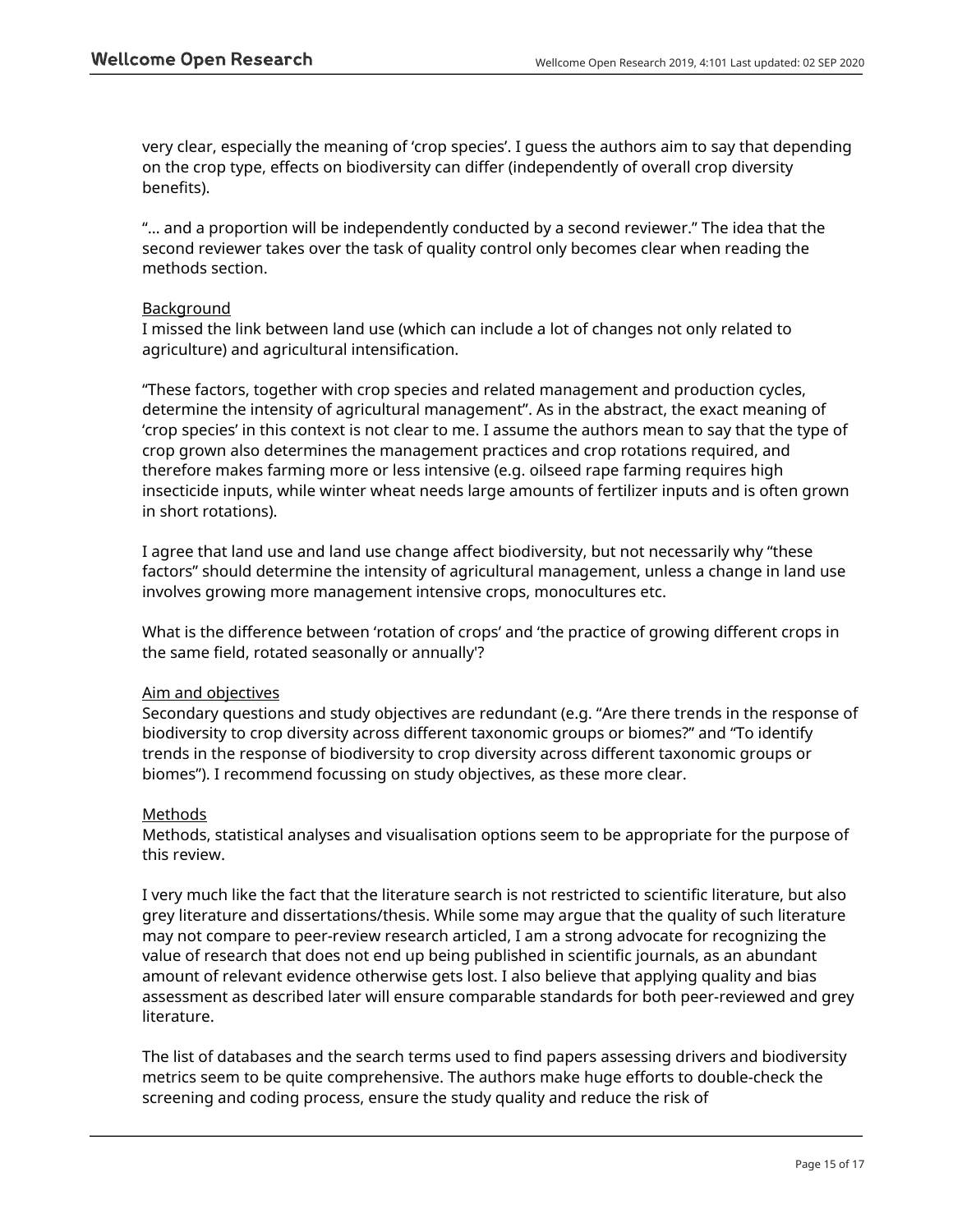very clear, especially the meaning of 'crop species'. I guess the authors aim to say that depending on the crop type, effects on biodiversity can differ (independently of overall crop diversity benefits).

"… and a proportion will be independently conducted by a second reviewer." The idea that the second reviewer takes over the task of quality control only becomes clear when reading the methods section.

### **Background**

I missed the link between land use (which can include a lot of changes not only related to agriculture) and agricultural intensification.

"These factors, together with crop species and related management and production cycles, determine the intensity of agricultural management". As in the abstract, the exact meaning of 'crop species' in this context is not clear to me. I assume the authors mean to say that the type of crop grown also determines the management practices and crop rotations required, and therefore makes farming more or less intensive (e.g. oilseed rape farming requires high insecticide inputs, while winter wheat needs large amounts of fertilizer inputs and is often grown in short rotations).

I agree that land use and land use change affect biodiversity, but not necessarily why "these factors" should determine the intensity of agricultural management, unless a change in land use involves growing more management intensive crops, monocultures etc.

What is the difference between 'rotation of crops' and 'the practice of growing different crops in the same field, rotated seasonally or annually'?

### Aim and objectives

Secondary questions and study objectives are redundant (e.g. "Are there trends in the response of biodiversity to crop diversity across different taxonomic groups or biomes?" and "To identify trends in the response of biodiversity to crop diversity across different taxonomic groups or biomes"). I recommend focussing on study objectives, as these more clear.

### Methods

Methods, statistical analyses and visualisation options seem to be appropriate for the purpose of this review.

I very much like the fact that the literature search is not restricted to scientific literature, but also grey literature and dissertations/thesis. While some may argue that the quality of such literature may not compare to peer-review research articled, I am a strong advocate for recognizing the value of research that does not end up being published in scientific journals, as an abundant amount of relevant evidence otherwise gets lost. I also believe that applying quality and bias assessment as described later will ensure comparable standards for both peer-reviewed and grey literature.

The list of databases and the search terms used to find papers assessing drivers and biodiversity metrics seem to be quite comprehensive. The authors make huge efforts to double-check the screening and coding process, ensure the study quality and reduce the risk of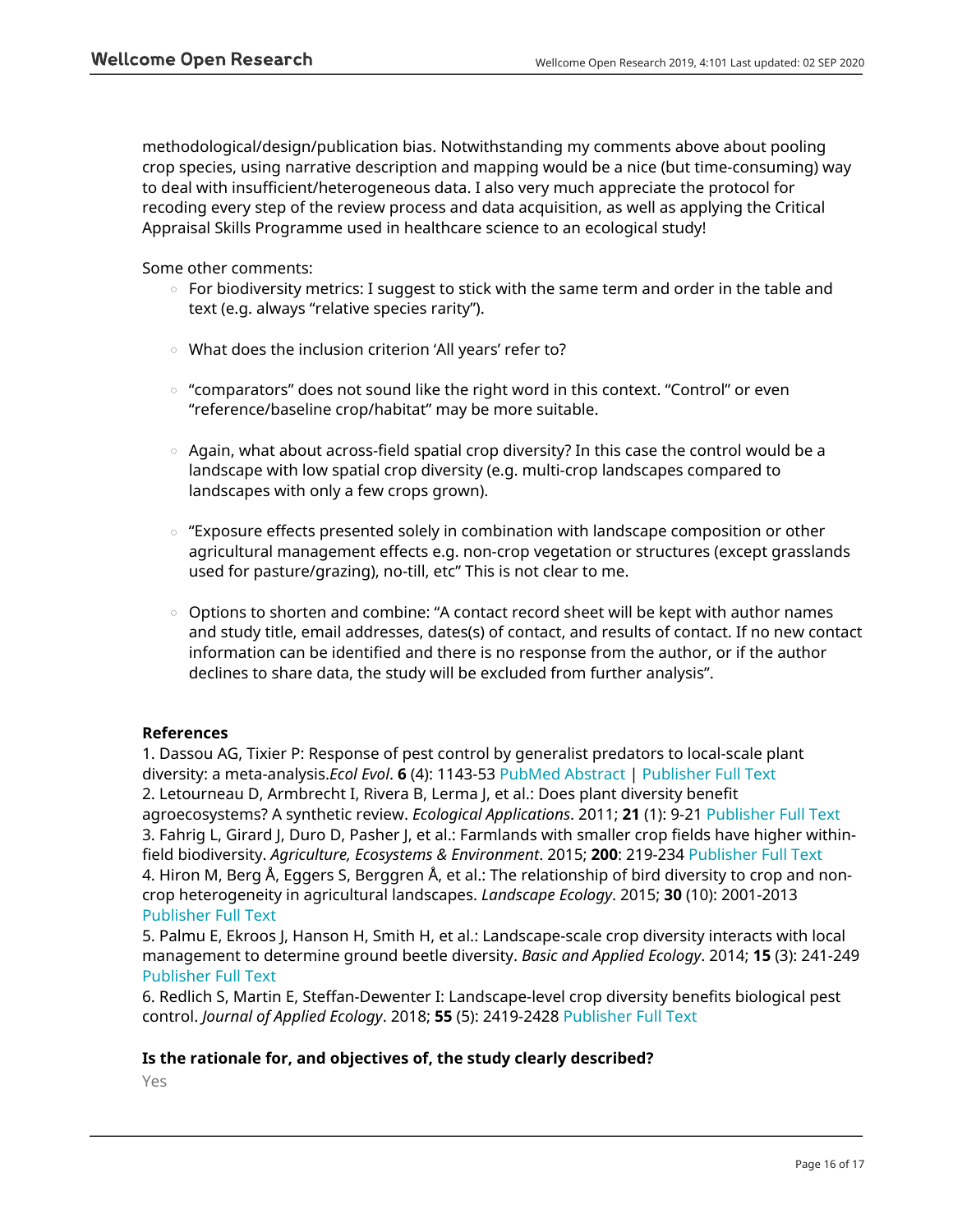methodological/design/publication bias. Notwithstanding my comments above about pooling crop species, using narrative description and mapping would be a nice (but time-consuming) way to deal with insufficient/heterogeneous data. I also very much appreciate the protocol for recoding every step of the review process and data acquisition, as well as applying the Critical Appraisal Skills Programme used in healthcare science to an ecological study!

Some other comments:

- $\,\circ\,$  For biodiversity metrics: I suggest to stick with the same term and order in the table and text (e.g. always "relative species rarity").
- What does the inclusion criterion 'All years' refer to?
- $\circ$  "comparators" does not sound like the right word in this context. "Control" or even "reference/baseline crop/habitat" may be more suitable.
- $\circ$   $\,$  Again, what about across-field spatial crop diversity? In this case the control would be a landscape with low spatial crop diversity (e.g. multi-crop landscapes compared to landscapes with only a few crops grown).
- $\,\circ\,$  "Exposure effects presented solely in combination with landscape composition or other agricultural management effects e.g. non-crop vegetation or structures (except grasslands used for pasture/grazing), no-till, etc" This is not clear to me.
- $\circ$   $\,$  Options to shorten and combine: "A contact record sheet will be kept with author names and study title, email addresses, dates(s) of contact, and results of contact. If no new contact information can be identified and there is no response from the author, or if the author declines to share data, the study will be excluded from further analysis".

### **References**

1. Dassou AG, Tixier P: Response of pest control by generalist predators to local-scale plant diversity: a meta-analysis.*Ecol Evol*. **6** (4): 1143-53 [PubMed Abstract](http://www.ncbi.nlm.nih.gov/pubmed/26839684) | [Publisher Full Text](https://doi.org/10.1002/ece3.1917) 2. Letourneau D, Armbrecht I, Rivera B, Lerma J, et al.: Does plant diversity benefit agroecosystems? A synthetic review. *Ecological Applications*. 2011; **21** (1): 9-21 [Publisher Full Text](https://doi.org/10.1890/09-2026.1) 3. Fahrig L, Girard J, Duro D, Pasher J, et al.: Farmlands with smaller crop fields have higher withinfield biodiversity. *Agriculture, Ecosystems & Environment*. 2015; **200**: 219-234 [Publisher Full Text](https://doi.org/10.1016/j.agee.2014.11.018) 4. Hiron M, Berg Å, Eggers S, Berggren Å, et al.: The relationship of bird diversity to crop and noncrop heterogeneity in agricultural landscapes. *Landscape Ecology*. 2015; **30** (10): 2001-2013 [Publisher Full Text](https://doi.org/10.1007/s10980-015-0226-0)

5. Palmu E, Ekroos J, Hanson H, Smith H, et al.: Landscape-scale crop diversity interacts with local management to determine ground beetle diversity. *Basic and Applied Ecology*. 2014; **15** (3): 241-249 [Publisher Full Text](https://doi.org/10.1016/j.baae.2014.03.001)

6. Redlich S, Martin E, Steffan-Dewenter I: Landscape-level crop diversity benefits biological pest control. *Journal of Applied Ecology*. 2018; **55** (5): 2419-2428 [Publisher Full Text](https://doi.org/10.1111/1365-2664.13126)

### **Is the rationale for, and objectives of, the study clearly described?**

Yes